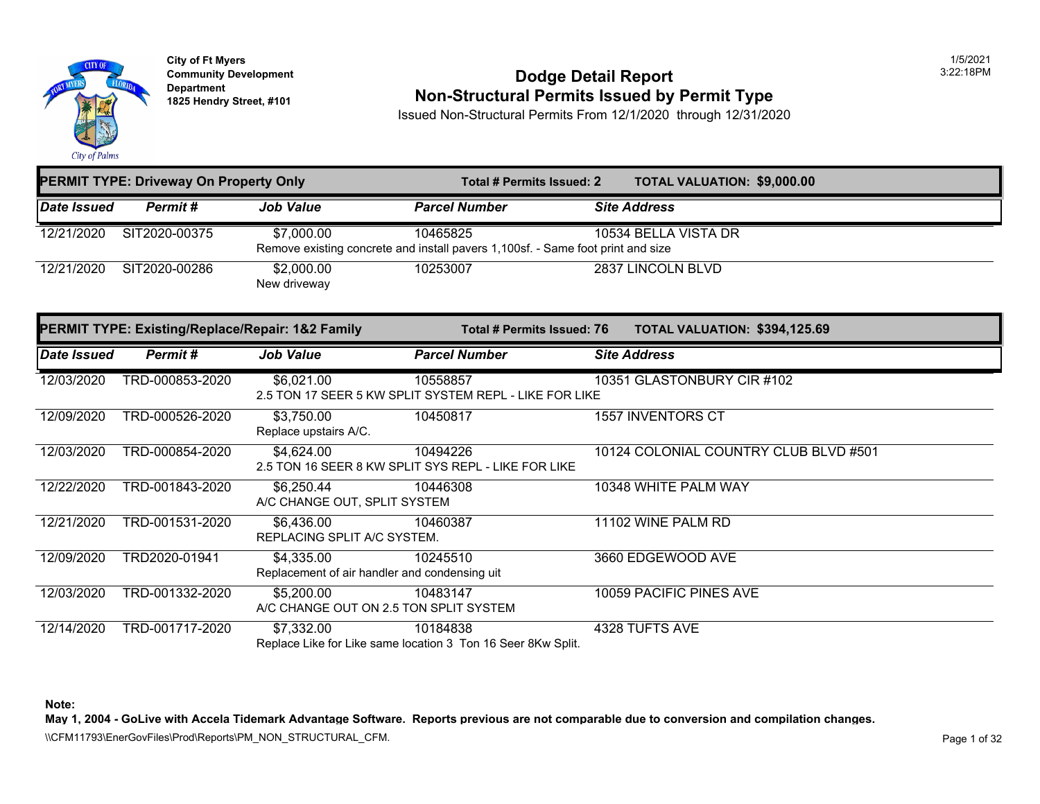

### **Community Development Community Development** Dodge Detail Report **1825 Non-Structural Permits Issued by Permit Type**

Issued Non-Structural Permits From 12/1/2020 through 12/31/2020

| <b>PERMIT TYPE: Driveway On Property Only</b> |               |                            |                                                                                             | <b>TOTAL VALUATION: \$9,000.0</b><br>Total # Permits Issued: 2 |                      |  |
|-----------------------------------------------|---------------|----------------------------|---------------------------------------------------------------------------------------------|----------------------------------------------------------------|----------------------|--|
| Date Issued                                   | Permit #      | <b>Job Value</b>           | <b>Parcel Number</b>                                                                        |                                                                | <b>Site Address</b>  |  |
| 12/21/2020                                    | SIT2020-00375 | \$7,000.00                 | 10465825<br>Remove existing concrete and install pavers 1,100sf. - Same foot print and size |                                                                | 10534 BELLA VISTA DR |  |
| 12/21/2020                                    | SIT2020-00286 | \$2,000.00<br>New driveway | 10253007                                                                                    |                                                                | 2837 LINCOLN BLVD    |  |

|                    | <b>PERMIT TYPE: Existing/Replace/Repair: 1&amp;2 Family</b> |                                                             |                                                                          | <b>TOTAL VALUATION: \$394,12</b><br><b>Total # Permits Issued: 76</b> |                             |  |
|--------------------|-------------------------------------------------------------|-------------------------------------------------------------|--------------------------------------------------------------------------|-----------------------------------------------------------------------|-----------------------------|--|
| <b>Date Issued</b> | Permit#                                                     | Job Value                                                   | <b>Parcel Number</b>                                                     | <b>Site Address</b>                                                   |                             |  |
| 12/03/2020         | TRD-000853-2020                                             | \$6,021.00                                                  | 10558857<br>2.5 TON 17 SEER 5 KW SPLIT SYSTEM REPL - LIKE FOR LIKE       |                                                                       | 10351 GLASTONBURY CIR #102  |  |
| 12/09/2020         | TRD-000526-2020                                             | \$3,750.00<br>Replace upstairs A/C.                         | 10450817                                                                 |                                                                       | <b>1557 INVENTORS CT</b>    |  |
| 12/03/2020         | TRD-000854-2020                                             | \$4,624.00                                                  | 10494226<br>2.5 TON 16 SEER 8 KW SPLIT SYS REPL - LIKE FOR LIKE          |                                                                       | 10124 COLONIAL COUNTRY CLUE |  |
| 12/22/2020         | TRD-001843-2020                                             | \$6,250.44<br>A/C CHANGE OUT, SPLIT SYSTEM                  | 10446308                                                                 |                                                                       | 10348 WHITE PALM WAY        |  |
| 12/21/2020         | TRD-001531-2020                                             | \$6,436.00<br>REPLACING SPLIT A/C SYSTEM.                   | 10460387                                                                 |                                                                       | 11102 WINE PALM RD          |  |
| 12/09/2020         | TRD2020-01941                                               | \$4,335.00<br>Replacement of air handler and condensing uit | 10245510                                                                 |                                                                       | 3660 EDGEWOOD AVE           |  |
| 12/03/2020         | TRD-001332-2020                                             | \$5,200.00                                                  | 10483147<br>A/C CHANGE OUT ON 2.5 TON SPLIT SYSTEM                       |                                                                       | 10059 PACIFIC PINES AVE     |  |
| 12/14/2020         | TRD-001717-2020                                             | \$7,332.00                                                  | 10184838<br>Replace Like for Like same location 3 Ton 16 Seer 8Kw Split. |                                                                       | 4328 TUFTS AVE              |  |

**Note:**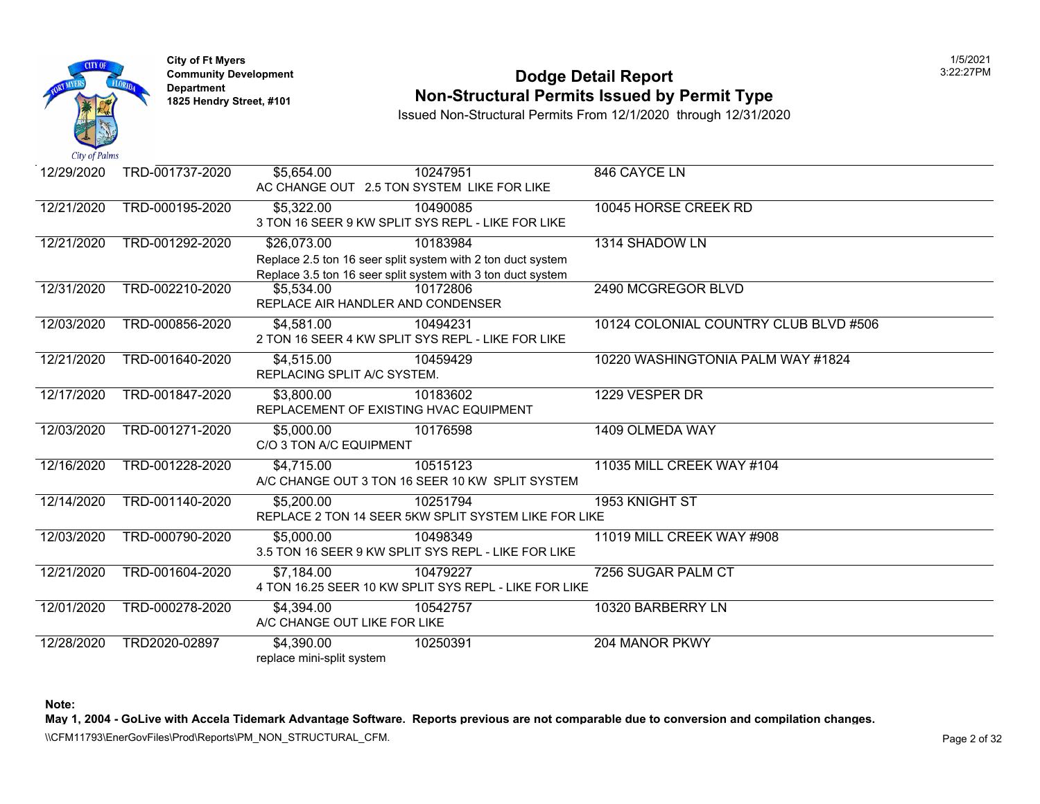

## **Community Development 2:22:27 POdge Detail Report 1825 Non-Structural Permits Issued by Permit Type**

Issued Non-Structural Permits From 12/1/2020 through 12/31/2020

| 12/29/2020 | TRD-001737-2020 | \$5,654.00                                                       | 10247951<br>AC CHANGE OUT 2.5 TON SYSTEM LIKE FOR LIKE                                                                                 | 846 CAYCE LN                |
|------------|-----------------|------------------------------------------------------------------|----------------------------------------------------------------------------------------------------------------------------------------|-----------------------------|
| 12/21/2020 | TRD-000195-2020 | \$5,322.00                                                       | 10490085<br>3 TON 16 SEER 9 KW SPLIT SYS REPL - LIKE FOR LIKE                                                                          | 10045 HORSE CREEK RD        |
| 12/21/2020 | TRD-001292-2020 | \$26,073.00                                                      | 10183984<br>Replace 2.5 ton 16 seer split system with 2 ton duct system<br>Replace 3.5 ton 16 seer split system with 3 ton duct system | 1314 SHADOW LN              |
| 12/31/2020 | TRD-002210-2020 | \$5,534.00<br>REPLACE AIR HANDLER AND CONDENSER                  | 10172806                                                                                                                               | 2490 MCGREGOR BLVD          |
| 12/03/2020 | TRD-000856-2020 | \$4,581.00                                                       | 10494231<br>2 TON 16 SEER 4 KW SPLIT SYS REPL - LIKE FOR LIKE                                                                          | 10124 COLONIAL COUNTRY CLUE |
| 12/21/2020 | TRD-001640-2020 | \$4,515.00<br>REPLACING SPLIT A/C SYSTEM.                        | 10459429                                                                                                                               | 10220 WASHINGTONIA PALM WAY |
| 12/17/2020 | TRD-001847-2020 | $\overline{$3,800.00}$<br>REPLACEMENT OF EXISTING HVAC EQUIPMENT | 10183602                                                                                                                               | 1229 VESPER DR              |
| 12/03/2020 | TRD-001271-2020 | \$5,000.00<br>C/O 3 TON A/C EQUIPMENT                            | 10176598                                                                                                                               | 1409 OLMEDA WAY             |
| 12/16/2020 | TRD-001228-2020 | \$4,715.00                                                       | 10515123<br>A/C CHANGE OUT 3 TON 16 SEER 10 KW SPLIT SYSTEM                                                                            | 11035 MILL CREEK WAY #104   |
| 12/14/2020 | TRD-001140-2020 | \$5,200.00                                                       | 10251794<br>REPLACE 2 TON 14 SEER 5KW SPLIT SYSTEM LIKE FOR LIKE                                                                       | 1953 KNIGHT ST              |
| 12/03/2020 | TRD-000790-2020 | \$5,000.00                                                       | 10498349<br>3.5 TON 16 SEER 9 KW SPLIT SYS REPL - LIKE FOR LIKE                                                                        | 11019 MILL CREEK WAY #908   |
| 12/21/2020 | TRD-001604-2020 | \$7,184.00                                                       | 10479227<br>4 TON 16.25 SEER 10 KW SPLIT SYS REPL - LIKE FOR LIKE                                                                      | 7256 SUGAR PALM CT          |
| 12/01/2020 | TRD-000278-2020 | \$4,394.00<br>A/C CHANGE OUT LIKE FOR LIKE                       | 10542757                                                                                                                               | 10320 BARBERRY LN           |
| 12/28/2020 | TRD2020-02897   | \$4,390.00<br>replace mini-split system                          | 10250391                                                                                                                               | 204 MANOR PKWY              |

**Note:**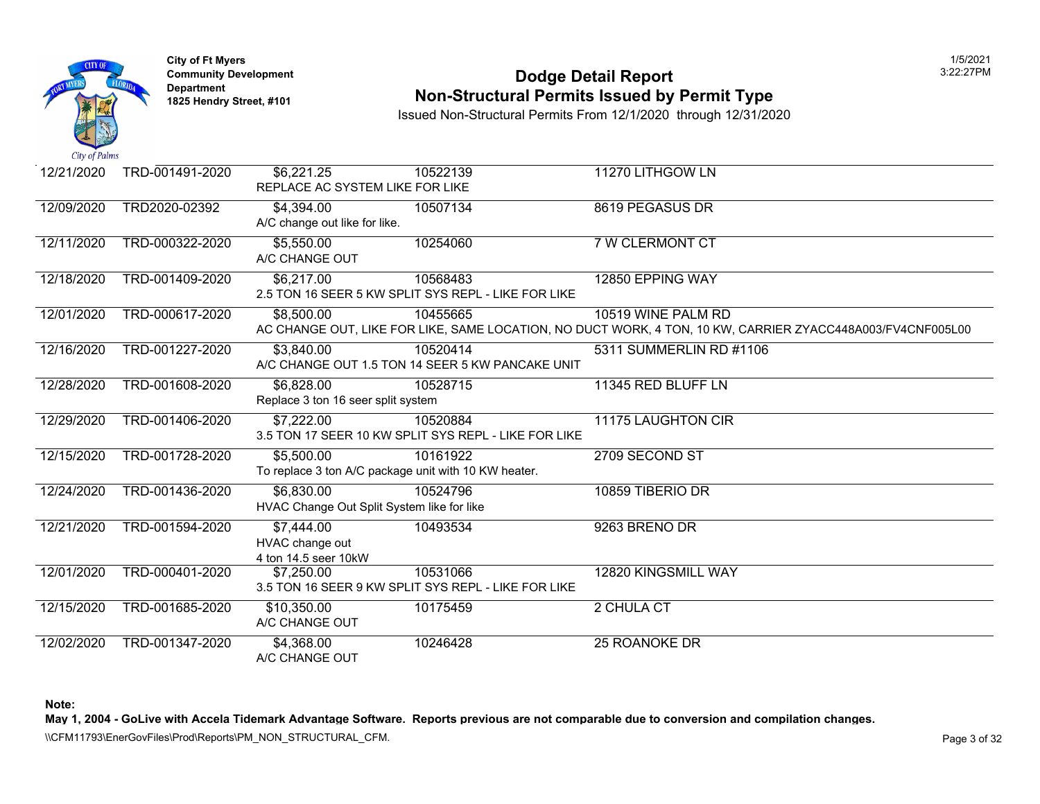

### **Community Development 2:22:27 POdge Detail Report Non-Structural Permits Issued by Permit Type**

Issued Non-Structural Permits From 12/1/2020 through 12/31/2020

| 12/21/2020 | TRD-001491-2020 | \$6,221.25<br>REPLACE AC SYSTEM LIKE FOR LIKE                      | 10522139                                                         | 11270 LITHGOW LN                                                                                         |
|------------|-----------------|--------------------------------------------------------------------|------------------------------------------------------------------|----------------------------------------------------------------------------------------------------------|
| 12/09/2020 | TRD2020-02392   | \$4,394.00<br>A/C change out like for like.                        | 10507134                                                         | 8619 PEGASUS DR                                                                                          |
| 12/11/2020 | TRD-000322-2020 | \$5,550.00<br>A/C CHANGE OUT                                       | 10254060                                                         | 7 W CLERMONT CT                                                                                          |
| 12/18/2020 | TRD-001409-2020 | \$6,217.00                                                         | 10568483<br>2.5 TON 16 SEER 5 KW SPLIT SYS REPL - LIKE FOR LIKE  | 12850 EPPING WAY                                                                                         |
| 12/01/2020 | TRD-000617-2020 | \$8,500.00                                                         | 10455665                                                         | 10519 WINE PALM RD<br>AC CHANGE OUT, LIKE FOR LIKE, SAME LOCATION, NO DUCT WORK, 4 TON, 10 KW, CARRIER Z |
| 12/16/2020 | TRD-001227-2020 | \$3,840.00                                                         | 10520414<br>A/C CHANGE OUT 1.5 TON 14 SEER 5 KW PANCAKE UNIT     | 5311 SUMMERLIN RD #1106                                                                                  |
| 12/28/2020 | TRD-001608-2020 | \$6,828.00<br>Replace 3 ton 16 seer split system                   | 10528715                                                         | 11345 RED BLUFF LN                                                                                       |
| 12/29/2020 | TRD-001406-2020 | \$7,222.00                                                         | 10520884<br>3.5 TON 17 SEER 10 KW SPLIT SYS REPL - LIKE FOR LIKE | <b>11175 LAUGHTON CIR</b>                                                                                |
| 12/15/2020 | TRD-001728-2020 | \$5,500.00<br>To replace 3 ton A/C package unit with 10 KW heater. | 10161922                                                         | 2709 SECOND ST                                                                                           |
| 12/24/2020 | TRD-001436-2020 | \$6,830.00<br>HVAC Change Out Split System like for like           | 10524796                                                         | 10859 TIBERIO DR                                                                                         |
| 12/21/2020 | TRD-001594-2020 | \$7,444.00<br>HVAC change out<br>4 ton 14.5 seer 10kW              | 10493534                                                         | 9263 BRENO DR                                                                                            |
| 12/01/2020 | TRD-000401-2020 | \$7,250.00                                                         | 10531066<br>3.5 TON 16 SEER 9 KW SPLIT SYS REPL - LIKE FOR LIKE  | 12820 KINGSMILL WAY                                                                                      |
| 12/15/2020 | TRD-001685-2020 | \$10,350.00<br>A/C CHANGE OUT                                      | 10175459                                                         | 2 CHULA CT                                                                                               |
| 12/02/2020 | TRD-001347-2020 | \$4,368.00<br>A/C CHANGE OUT                                       | 10246428                                                         | 25 ROANOKE DR                                                                                            |

**Note:**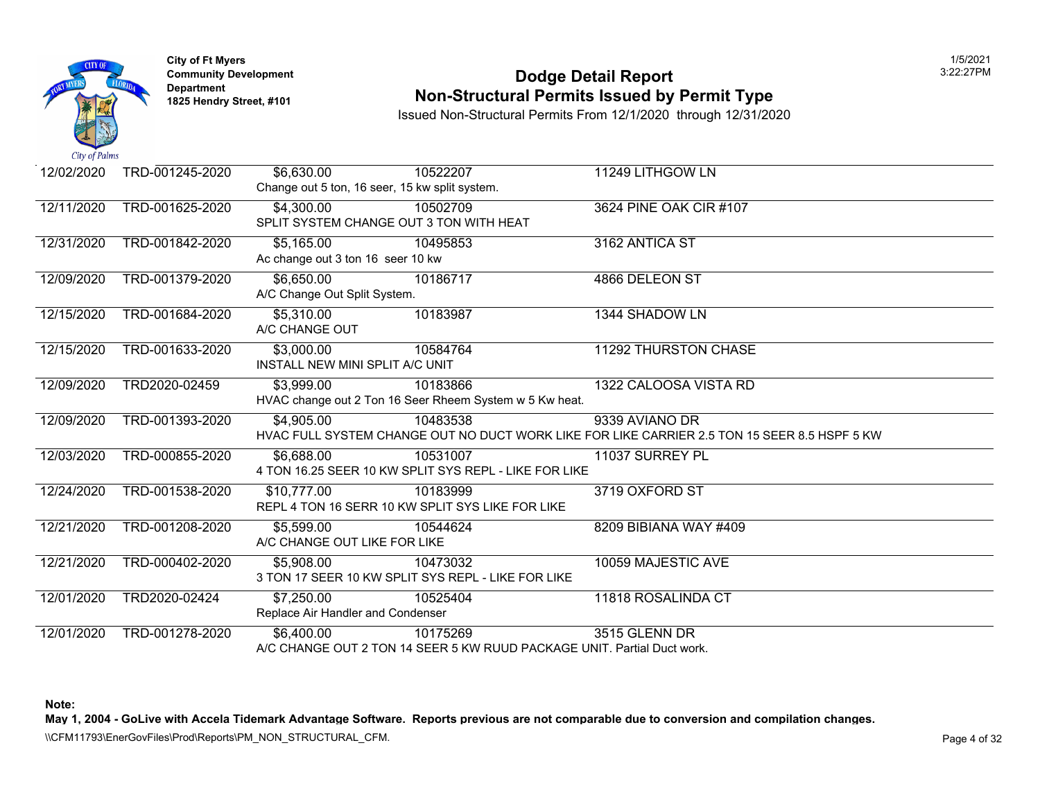

### **Community Developm[ent](https://5,310.00) 12:22:27 PODDE DETAIL Report Non-Structural Permits Issued by Permit Type**

Issued Non-Structural Permits From 12/1/2020 through 12/31/2020

| 12/02/2020 | TRD-001245-2020 | \$6,630.00                        | 10522207                                                | 11249 LITHGOW LN                                                                 |
|------------|-----------------|-----------------------------------|---------------------------------------------------------|----------------------------------------------------------------------------------|
|            |                 |                                   | Change out 5 ton, 16 seer, 15 kw split system.          |                                                                                  |
| 12/11/2020 | TRD-001625-2020 | \$4,300.00                        | 10502709                                                | 3624 PINE OAK CIR #107                                                           |
|            |                 |                                   | SPLIT SYSTEM CHANGE OUT 3 TON WITH HEAT                 |                                                                                  |
| 12/31/2020 | TRD-001842-2020 | \$5,165.00                        | 10495853                                                | 3162 ANTICA ST                                                                   |
|            |                 | Ac change out 3 ton 16 seer 10 kw |                                                         |                                                                                  |
| 12/09/2020 | TRD-001379-2020 | \$6,650.00                        | 10186717                                                | 4866 DELEON ST                                                                   |
|            |                 | A/C Change Out Split System.      |                                                         |                                                                                  |
| 12/15/2020 | TRD-001684-2020 | \$5,310.00                        | 10183987                                                | 1344 SHADOW LN                                                                   |
|            |                 | A/C CHANGE OUT                    |                                                         |                                                                                  |
| 12/15/2020 | TRD-001633-2020 | \$3,000.00                        | 10584764                                                | 11292 THURSTON CHASE                                                             |
|            |                 | INSTALL NEW MINI SPLIT A/C UNIT   |                                                         |                                                                                  |
| 12/09/2020 | TRD2020-02459   | \$3,999.00                        | 10183866                                                | 1322 CALOOSA VISTA RD                                                            |
|            |                 |                                   | HVAC change out 2 Ton 16 Seer Rheem System w 5 Kw heat. |                                                                                  |
| 12/09/2020 | TRD-001393-2020 | \$4,905.00                        | 10483538                                                | 9339 AVIANO DR                                                                   |
|            |                 |                                   |                                                         | HVAC FULL SYSTEM CHANGE OUT NO DUCT WORK LIKE FOR LIKE CARRIER 2.5 TON 15 SEER 8 |
| 12/03/2020 | TRD-000855-2020 | \$6,688.00                        | 10531007                                                | 11037 SURREY PL                                                                  |
|            |                 |                                   | 4 TON 16.25 SEER 10 KW SPLIT SYS REPL - LIKE FOR LIKE   |                                                                                  |
| 12/24/2020 | TRD-001538-2020 | \$10,777.00                       | 10183999                                                | 3719 OXFORD ST                                                                   |
|            |                 |                                   | REPL 4 TON 16 SERR 10 KW SPLIT SYS LIKE FOR LIKE        |                                                                                  |
| 12/21/2020 | TRD-001208-2020 | \$5,599.00                        | 10544624                                                | 8209 BIBIANA WAY #409                                                            |
|            |                 | A/C CHANGE OUT LIKE FOR LIKE      |                                                         |                                                                                  |
| 12/21/2020 | TRD-000402-2020 | \$5,908.00                        | 10473032                                                | 10059 MAJESTIC AVE                                                               |
|            |                 |                                   | 3 TON 17 SEER 10 KW SPLIT SYS REPL - LIKE FOR LIKE      |                                                                                  |
| 12/01/2020 | TRD2020-02424   | \$7,250.00                        | 10525404                                                | 11818 ROSALINDA CT                                                               |
|            |                 | Replace Air Handler and Condenser |                                                         |                                                                                  |
| 12/01/2020 | TRD-001278-2020 | \$6,400.00                        | 10175269                                                | 3515 GLENN DR                                                                    |
|            |                 |                                   |                                                         | A/C CHANGE OUT 2 TON 14 SEER 5 KW RUUD PACKAGE UNIT. Partial Duct work.          |

**Note:**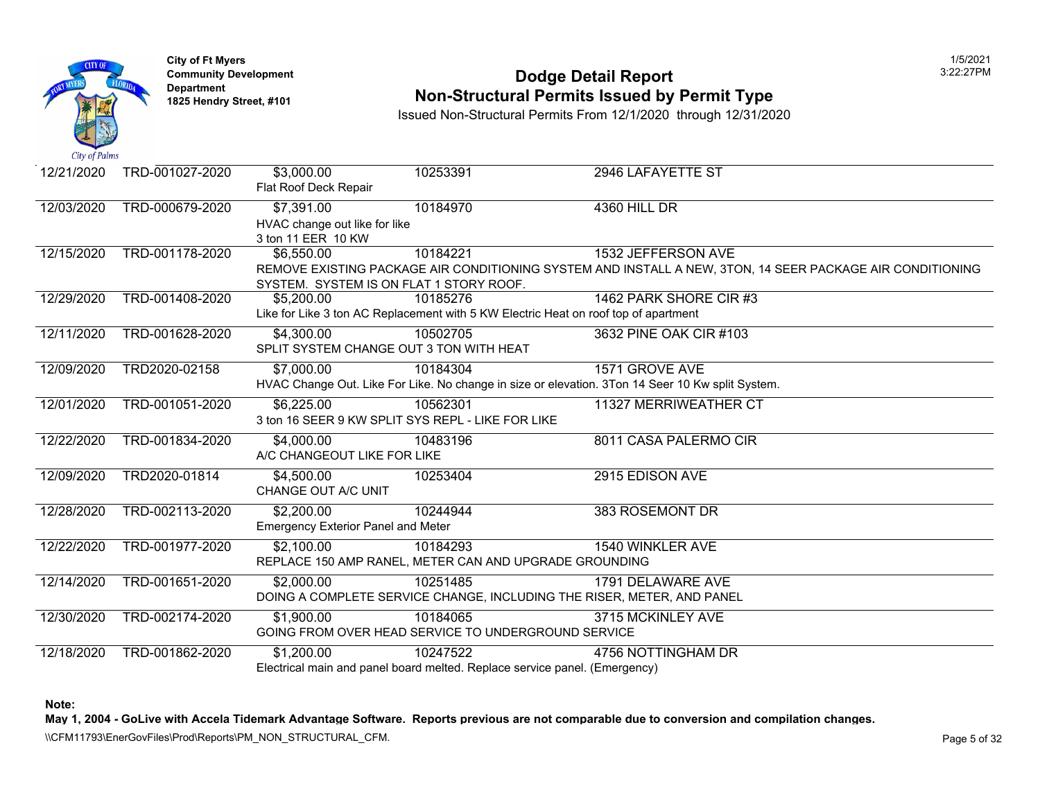

## **Community Developm[ent](https://5,200.00) 12:22:27 PODDE DETAIL Report 1825 Non-Structural Permits Issued by Permit Type**

Issued Non-Structural Permits From 12/1/2020 through 12/31/2020

| 12/21/2020 | TRD-001027-2020 | \$3,000.00<br>Flat Roof Deck Repair                               | 10253391                                                                                        | 2946 LAFAYETTE ST                                                                                                  |
|------------|-----------------|-------------------------------------------------------------------|-------------------------------------------------------------------------------------------------|--------------------------------------------------------------------------------------------------------------------|
| 12/03/2020 | TRD-000679-2020 | \$7,391.00<br>HVAC change out like for like<br>3 ton 11 EER 10 KW | 10184970                                                                                        | 4360 HILL DR                                                                                                       |
| 12/15/2020 | TRD-001178-2020 | \$6,550.00<br>SYSTEM. SYSTEM IS ON FLAT 1 STORY ROOF.             | 10184221                                                                                        | 1532 JEFFERSON AVE<br>REMOVE EXISTING PACKAGE AIR CONDITIONING SYSTEM AND INSTALL A NEW, 3TON, 14 SEER             |
| 12/29/2020 | TRD-001408-2020 | \$5,200.00                                                        | 10185276<br>Like for Like 3 ton AC Replacement with 5 KW Electric Heat on roof top of apartment | 1462 PARK SHORE CIR #3                                                                                             |
| 12/11/2020 | TRD-001628-2020 | \$4,300.00<br>SPLIT SYSTEM CHANGE OUT 3 TON WITH HEAT             | 10502705                                                                                        | 3632 PINE OAK CIR #103                                                                                             |
| 12/09/2020 | TRD2020-02158   | \$7,000.00                                                        | 10184304                                                                                        | 1571 GROVE AVE<br>HVAC Change Out. Like For Like. No change in size or elevation. 3Ton 14 Seer 10 Kw split System. |
| 12/01/2020 | TRD-001051-2020 | \$6,225.00                                                        | 10562301<br>3 ton 16 SEER 9 KW SPLIT SYS REPL - LIKE FOR LIKE                                   | 11327 MERRIWEATHER CT                                                                                              |
| 12/22/2020 | TRD-001834-2020 | \$4,000.00<br>A/C CHANGEOUT LIKE FOR LIKE                         | 10483196                                                                                        | 8011 CASA PALERMO CIR                                                                                              |
| 12/09/2020 | TRD2020-01814   | \$4,500.00<br>CHANGE OUT A/C UNIT                                 | 10253404                                                                                        | 2915 EDISON AVE                                                                                                    |
| 12/28/2020 | TRD-002113-2020 | \$2,200.00<br><b>Emergency Exterior Panel and Meter</b>           | 10244944                                                                                        | 383 ROSEMONT DR                                                                                                    |
| 12/22/2020 | TRD-001977-2020 | \$2,100.00                                                        | 10184293<br>REPLACE 150 AMP RANEL, METER CAN AND UPGRADE GROUNDING                              | 1540 WINKLER AVE                                                                                                   |
| 12/14/2020 | TRD-001651-2020 | \$2,000.00                                                        | 10251485<br>DOING A COMPLETE SERVICE CHANGE, INCLUDING THE RISER, METER, AND PANEL              | 1791 DELAWARE AVE                                                                                                  |
| 12/30/2020 | TRD-002174-2020 | \$1,900.00                                                        | 10184065<br>GOING FROM OVER HEAD SERVICE TO UNDERGROUND SERVICE                                 | 3715 MCKINLEY AVE                                                                                                  |
| 12/18/2020 | TRD-001862-2020 | \$1,200.00                                                        | 10247522<br>Electrical main and panel board melted. Replace service panel. (Emergency)          | 4756 NOTTINGHAM DR                                                                                                 |

**Note:**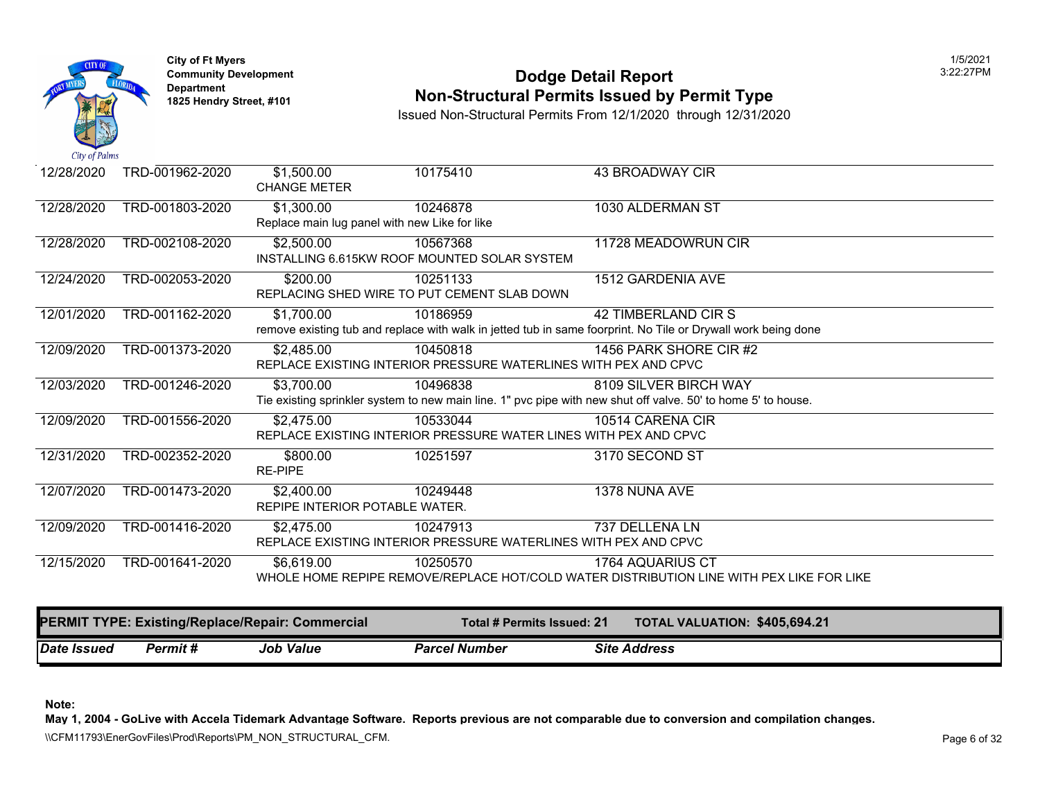

### **Community Development 2:22:27 POdge Detail Report Non-Structural Permits Issued by Permit Type**

Issued Non-Structural Permits From 12/1/2020 through 12/31/2020

| 12/28/2020 | TRD-001962-2020 | \$1,500.00                     | 10175410                                      | 43 BROADWAY CIR                                                                                             |
|------------|-----------------|--------------------------------|-----------------------------------------------|-------------------------------------------------------------------------------------------------------------|
|            |                 | <b>CHANGE METER</b>            |                                               |                                                                                                             |
| 12/28/2020 | TRD-001803-2020 | \$1,300.00                     | 10246878                                      | 1030 ALDERMAN ST                                                                                            |
|            |                 |                                | Replace main lug panel with new Like for like |                                                                                                             |
| 12/28/2020 | TRD-002108-2020 | \$2,500.00                     | 10567368                                      | 11728 MEADOWRUN CIR                                                                                         |
|            |                 |                                | INSTALLING 6.615KW ROOF MOUNTED SOLAR SYSTEM  |                                                                                                             |
|            |                 |                                |                                               |                                                                                                             |
| 12/24/2020 | TRD-002053-2020 | \$200.00                       | 10251133                                      | 1512 GARDENIA AVE                                                                                           |
|            |                 |                                | REPLACING SHED WIRE TO PUT CEMENT SLAB DOWN   |                                                                                                             |
| 12/01/2020 | TRD-001162-2020 | \$1,700.00                     | 10186959                                      | 42 TIMBERLAND CIR S                                                                                         |
|            |                 |                                |                                               | remove existing tub and replace with walk in jetted tub in same foorprint. No Tile or Drywall work being do |
| 12/09/2020 | TRD-001373-2020 | \$2,485.00                     | 10450818                                      | 1456 PARK SHORE CIR #2                                                                                      |
|            |                 |                                |                                               | REPLACE EXISTING INTERIOR PRESSURE WATERLINES WITH PEX AND CPVC                                             |
| 12/03/2020 | TRD-001246-2020 | $\overline{$3,700.00}$         | 10496838                                      | 8109 SILVER BIRCH WAY                                                                                       |
|            |                 |                                |                                               | Tie existing sprinkler system to new main line. 1" pvc pipe with new shut off valve. 50' to home 5' to hous |
| 12/09/2020 | TRD-001556-2020 | \$2,475.00                     | 10533044                                      | 10514 CARENA CIR                                                                                            |
|            |                 |                                |                                               | REPLACE EXISTING INTERIOR PRESSURE WATER LINES WITH PEX AND CPVC                                            |
| 12/31/2020 | TRD-002352-2020 | \$800.00                       | 10251597                                      | 3170 SECOND ST                                                                                              |
|            |                 | <b>RE-PIPE</b>                 |                                               |                                                                                                             |
| 12/07/2020 | TRD-001473-2020 | \$2,400.00                     | 10249448                                      | 1378 NUNA AVE                                                                                               |
|            |                 | REPIPE INTERIOR POTABLE WATER. |                                               |                                                                                                             |
|            |                 |                                |                                               | 737 DELLENA LN                                                                                              |
| 12/09/2020 | TRD-001416-2020 | \$2,475.00                     | 10247913                                      |                                                                                                             |
|            |                 |                                |                                               | REPLACE EXISTING INTERIOR PRESSURE WATERLINES WITH PEX AND CPVC                                             |
| 12/15/2020 | TRD-001641-2020 | \$6,619.00                     | 10250570                                      | 1764 AQUARIUS CT                                                                                            |
|            |                 |                                |                                               | WHOLE HOME REPIPE REMOVE/REPLACE HOT/COLD WATER DISTRIBUTION LINE WITH PEX LIK                              |
|            |                 |                                |                                               |                                                                                                             |
|            |                 |                                |                                               |                                                                                                             |

| <b>PERMIT TYPE: Existing/Replace/Repair: Commercial</b> |          | Total # Permits Issued: 21 |                      | <b>TOTAL VALUATION: \$405,69</b> |                     |  |
|---------------------------------------------------------|----------|----------------------------|----------------------|----------------------------------|---------------------|--|
| Date Issued                                             | Permit # | <b>Job Value</b>           | <b>Parcel Number</b> |                                  | <b>Site Address</b> |  |

**Note:**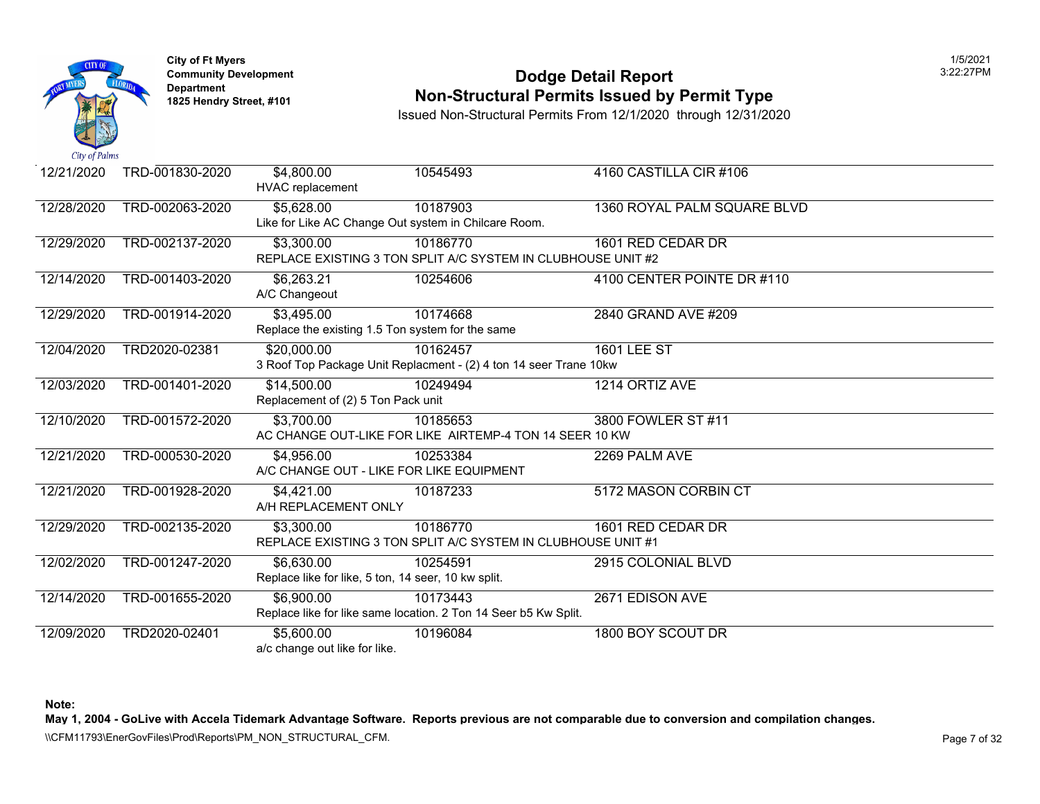

### **Community Developm[ent](https://3,495.00) 12:22:27 PODDE DETAIL Report Non-Structural Permits Issued by Permit Type**

Issued Non-Structural Permits From 12/1/2020 through 12/31/2020

| 12/21/2020 | TRD-001830-2020 | \$4,800.00<br><b>HVAC</b> replacement               | 10545493                                                          | 4160 CASTILLA CIR #106      |
|------------|-----------------|-----------------------------------------------------|-------------------------------------------------------------------|-----------------------------|
| 12/28/2020 | TRD-002063-2020 | $\overline{$}5,628.00$                              | 10187903                                                          | 1360 ROYAL PALM SQUARE BLVI |
|            |                 |                                                     | Like for Like AC Change Out system in Chilcare Room.              |                             |
| 12/29/2020 | TRD-002137-2020 | \$3,300.00                                          | 10186770                                                          | 1601 RED CEDAR DR           |
|            |                 |                                                     | REPLACE EXISTING 3 TON SPLIT A/C SYSTEM IN CLUBHOUSE UNIT #2      |                             |
| 12/14/2020 | TRD-001403-2020 | \$6,263.21                                          | 10254606                                                          | 4100 CENTER POINTE DR #110  |
|            |                 | A/C Changeout                                       |                                                                   |                             |
| 12/29/2020 | TRD-001914-2020 | \$3,495.00                                          | 10174668                                                          | 2840 GRAND AVE #209         |
|            |                 | Replace the existing 1.5 Ton system for the same    |                                                                   |                             |
| 12/04/2020 | TRD2020-02381   | \$20,000.00                                         | 10162457                                                          | <b>1601 LEE ST</b>          |
|            |                 |                                                     | 3 Roof Top Package Unit Replacment - (2) 4 ton 14 seer Trane 10kw |                             |
| 12/03/2020 | TRD-001401-2020 | \$14,500.00                                         | 10249494                                                          | 1214 ORTIZ AVE              |
|            |                 | Replacement of (2) 5 Ton Pack unit                  |                                                                   |                             |
| 12/10/2020 | TRD-001572-2020 | \$3,700.00                                          | 10185653                                                          | 3800 FOWLER ST #11          |
|            |                 |                                                     | AC CHANGE OUT-LIKE FOR LIKE AIRTEMP-4 TON 14 SEER 10 KW           |                             |
| 12/21/2020 | TRD-000530-2020 | \$4,956.00                                          | 10253384                                                          | 2269 PALM AVE               |
|            |                 | A/C CHANGE OUT - LIKE FOR LIKE EQUIPMENT            |                                                                   |                             |
| 12/21/2020 | TRD-001928-2020 | \$4,421.00                                          | 10187233                                                          | 5172 MASON CORBIN CT        |
|            |                 | A/H REPLACEMENT ONLY                                |                                                                   |                             |
| 12/29/2020 | TRD-002135-2020 | \$3,300.00                                          | 10186770                                                          | 1601 RED CEDAR DR           |
|            |                 |                                                     | REPLACE EXISTING 3 TON SPLIT A/C SYSTEM IN CLUBHOUSE UNIT #1      |                             |
| 12/02/2020 | TRD-001247-2020 | \$6,630.00                                          | 10254591                                                          | 2915 COLONIAL BLVD          |
|            |                 | Replace like for like, 5 ton, 14 seer, 10 kw split. |                                                                   |                             |
| 12/14/2020 | TRD-001655-2020 | \$6,900.00                                          | 10173443                                                          | 2671 EDISON AVE             |
|            |                 |                                                     | Replace like for like same location. 2 Ton 14 Seer b5 Kw Split.   |                             |
| 12/09/2020 | TRD2020-02401   | \$5,600.00                                          | 10196084                                                          | 1800 BOY SCOUT DR           |
|            |                 | a/c change out like for like.                       |                                                                   |                             |

**Note:**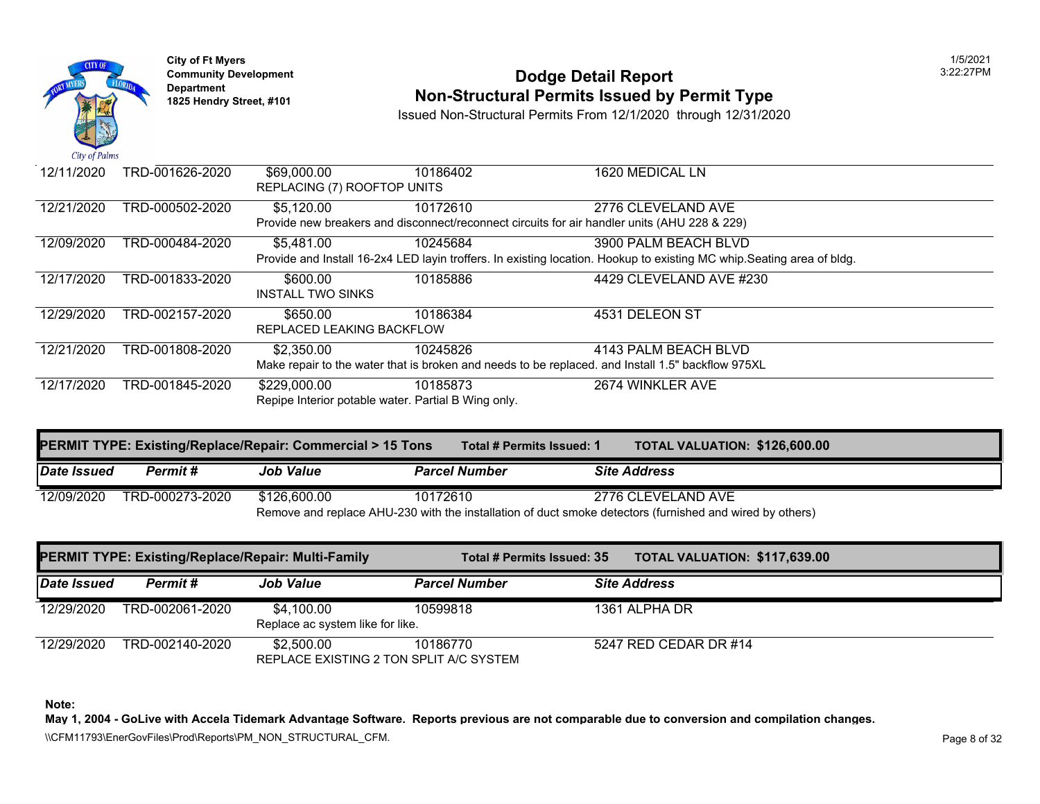

# **Community Development Community Development** 2:22:22:22:22:22:22:22:22:27PM Dodge Detail Report **1825 Hendry Street, #101 Non-Structural Permits Issued by Permit Type**

Issued Non-Structural Permits From 12/1/2020 through 12/31/2020

| Car of Lamo |                 |                                                     |                                                                                              |                                                                                                              |
|-------------|-----------------|-----------------------------------------------------|----------------------------------------------------------------------------------------------|--------------------------------------------------------------------------------------------------------------|
| 12/11/2020  | TRD-001626-2020 | \$69,000.00                                         | 10186402                                                                                     | 1620 MEDICAL LN                                                                                              |
|             |                 | REPLACING (7) ROOFTOP UNITS                         |                                                                                              |                                                                                                              |
| 12/21/2020  | TRD-000502-2020 | \$5,120.00                                          | 10172610                                                                                     | 2776 CLEVELAND AVE                                                                                           |
|             |                 |                                                     | Provide new breakers and disconnect/reconnect circuits for air handler units (AHU 228 & 229) |                                                                                                              |
| 12/09/2020  | TRD-000484-2020 | \$5,481.00                                          | 10245684                                                                                     | 3900 PALM BEACH BLVD                                                                                         |
|             |                 |                                                     |                                                                                              | Provide and Install 16-2x4 LED layin troffers. In existing location. Hookup to existing MC whip. Seating are |
| 12/17/2020  | TRD-001833-2020 | \$600.00                                            | 10185886                                                                                     | 4429 CLEVELAND AVE #230                                                                                      |
|             |                 | <b>INSTALL TWO SINKS</b>                            |                                                                                              |                                                                                                              |
| 12/29/2020  | TRD-002157-2020 | \$650.00                                            | 10186384                                                                                     | 4531 DELEON ST                                                                                               |
|             |                 | REPLACED LEAKING BACKFLOW                           |                                                                                              |                                                                                                              |
| 12/21/2020  | TRD-001808-2020 | \$2,350.00                                          | 10245826                                                                                     | 4143 PALM BEACH BLVD                                                                                         |
|             |                 |                                                     |                                                                                              | Make repair to the water that is broken and needs to be replaced. and Install 1.5" backflow 975XL            |
| 12/17/2020  | TRD-001845-2020 | \$229,000.00                                        | 10185873                                                                                     | 2674 WINKLER AVE                                                                                             |
|             |                 | Repipe Interior potable water. Partial B Wing only. |                                                                                              |                                                                                                              |

|                  |                                    | <b>TOTAL VALUATION: \$126,60</b><br>Total # Permits Issued: 1                                                                                                                  |
|------------------|------------------------------------|--------------------------------------------------------------------------------------------------------------------------------------------------------------------------------|
| <b>Job Value</b> | <b>Parcel Number</b>               | <b>Site Address</b>                                                                                                                                                            |
| \$126,600,00     | 10172610                           | 2776 CLEVELAND AVE                                                                                                                                                             |
|                  | <b>Permit</b> #<br>TRD-000273-2020 | <b>PERMIT TYPE: Existing/Replace/Repair: Commercial &gt; 15 Tons</b><br>Remove and replace AHU-230 with the installation of duct smoke detectors (furnished and wired by other |

|                    | <b>PERMIT TYPE: Existing/Replace/Repair: Multi-Family</b> |                                                       | Total # Permits Issued: 35 | <b>TOTAL VALUATION: \$117,63</b> |  |
|--------------------|-----------------------------------------------------------|-------------------------------------------------------|----------------------------|----------------------------------|--|
| <b>Date Issued</b> | <b>Permit #</b>                                           | <b>Job Value</b>                                      | <b>Parcel Number</b>       | <b>Site Address</b>              |  |
| 12/29/2020         | TRD-002061-2020                                           | \$4,100.00<br>Replace ac system like for like.        | 10599818                   | 1361 ALPHA DR                    |  |
| 12/29/2020         | TRD-002140-2020                                           | \$2,500.00<br>REPLACE EXISTING 2 TON SPLIT A/C SYSTEM | 10186770                   | 5247 RED CEDAR DR #14            |  |

**Note:**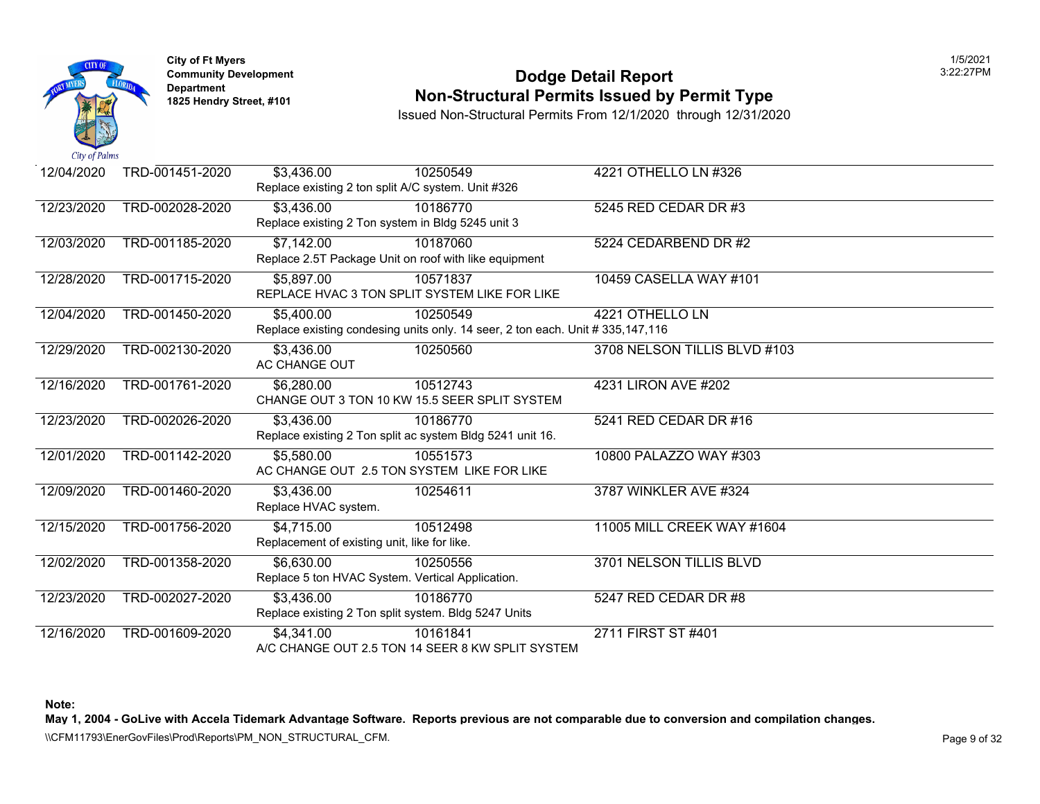

### **Community Developm[ent](https://5,400.00) 12:22:27 PODDE DETAIL Report Non-Structural Permits Issued by Permit Type**

Issued Non-Structural Permits From 12/1/2020 through 12/31/2020

| 12/04/2020 | TRD-001451-2020 | \$3,436.00                                                | 10250549                                                                       | 4221 OTHELLO LN #326         |
|------------|-----------------|-----------------------------------------------------------|--------------------------------------------------------------------------------|------------------------------|
|            |                 | Replace existing 2 ton split A/C system. Unit #326        |                                                                                |                              |
| 12/23/2020 | TRD-002028-2020 | \$3,436.00                                                | 10186770                                                                       | 5245 RED CEDAR DR #3         |
|            |                 | Replace existing 2 Ton system in Bldg 5245 unit 3         |                                                                                |                              |
| 12/03/2020 | TRD-001185-2020 | \$7,142.00                                                | 10187060                                                                       | 5224 CEDARBEND DR #2         |
|            |                 | Replace 2.5T Package Unit on roof with like equipment     |                                                                                |                              |
| 12/28/2020 | TRD-001715-2020 | \$5,897.00                                                | 10571837                                                                       | 10459 CASELLA WAY #101       |
|            |                 | REPLACE HVAC 3 TON SPLIT SYSTEM LIKE FOR LIKE             |                                                                                |                              |
| 12/04/2020 | TRD-001450-2020 | \$5,400.00                                                | 10250549                                                                       | 4221 OTHELLO LN              |
|            |                 |                                                           | Replace existing condesing units only. 14 seer, 2 ton each. Unit # 335,147,116 |                              |
| 12/29/2020 | TRD-002130-2020 | \$3,436.00                                                | 10250560                                                                       | 3708 NELSON TILLIS BLVD #103 |
|            |                 | AC CHANGE OUT                                             |                                                                                |                              |
| 12/16/2020 | TRD-001761-2020 | \$6,280.00                                                | 10512743                                                                       | 4231 LIRON AVE #202          |
|            |                 | CHANGE OUT 3 TON 10 KW 15.5 SEER SPLIT SYSTEM             |                                                                                |                              |
| 12/23/2020 | TRD-002026-2020 | \$3,436.00                                                | 10186770                                                                       | 5241 RED CEDAR DR #16        |
|            |                 | Replace existing 2 Ton split ac system Bldg 5241 unit 16. |                                                                                |                              |
| 12/01/2020 | TRD-001142-2020 | \$5,580.00                                                | 10551573                                                                       | 10800 PALAZZO WAY #303       |
|            |                 | AC CHANGE OUT 2.5 TON SYSTEM LIKE FOR LIKE                |                                                                                |                              |
| 12/09/2020 | TRD-001460-2020 | \$3,436.00                                                | 10254611                                                                       | 3787 WINKLER AVE #324        |
|            |                 | Replace HVAC system.                                      |                                                                                |                              |
| 12/15/2020 | TRD-001756-2020 | \$4,715.00                                                | 10512498                                                                       | 11005 MILL CREEK WAY #1604   |
|            |                 | Replacement of existing unit, like for like.              |                                                                                |                              |
| 12/02/2020 | TRD-001358-2020 | \$6,630.00                                                | 10250556                                                                       | 3701 NELSON TILLIS BLVD      |
|            |                 | Replace 5 ton HVAC System. Vertical Application.          |                                                                                |                              |
| 12/23/2020 | TRD-002027-2020 | \$3,436.00                                                | 10186770                                                                       | 5247 RED CEDAR DR #8         |
|            |                 | Replace existing 2 Ton split system. Bldg 5247 Units      |                                                                                |                              |
| 12/16/2020 | TRD-001609-2020 | \$4,341.00                                                | 10161841                                                                       | 2711 FIRST ST #401           |
|            |                 |                                                           | A/C CHANGE OUT 2.5 TON 14 SEER 8 KW SPLIT SYSTEM                               |                              |

**Note:**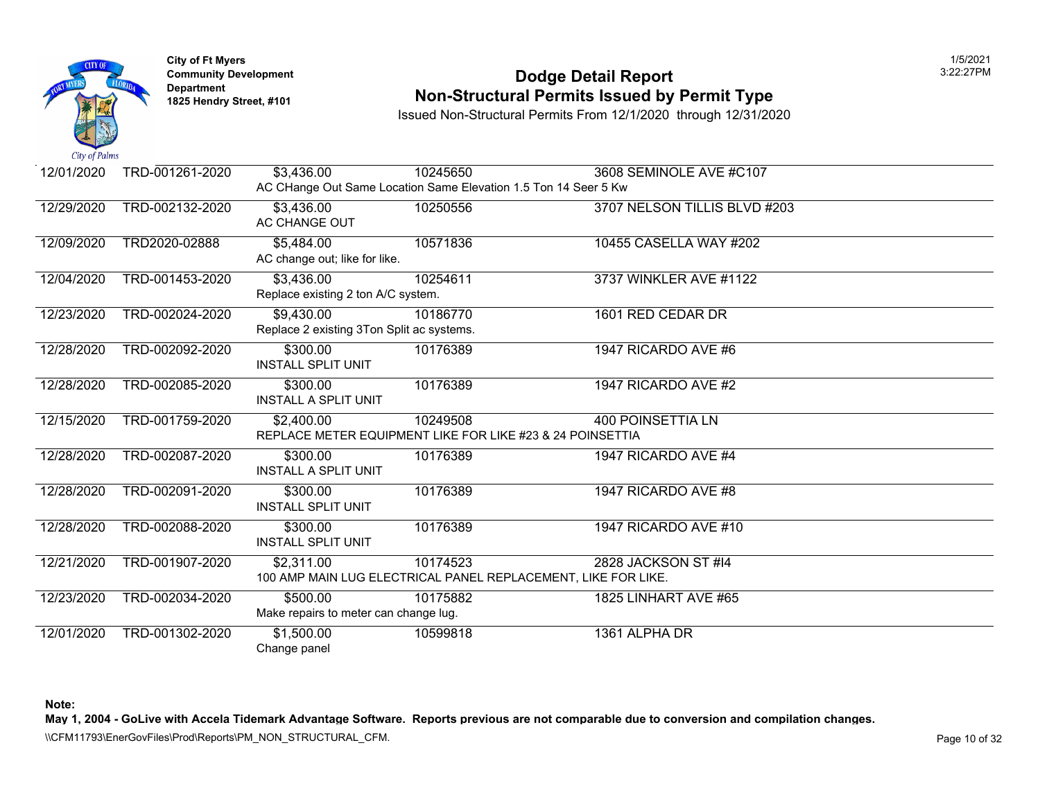

### **Community Developm[ent](https://9,430.00) 12:23:27 Personal property Development 12:27 Pool Dodge Detail Report Non-Structural Permits Issued by Permit Type**

Issued Non-Structural Permits From 12/1/2020 through 12/31/2020

| City of Fullities |                 |                                                                 |          |                                                               |
|-------------------|-----------------|-----------------------------------------------------------------|----------|---------------------------------------------------------------|
| 12/01/2020        | TRD-001261-2020 | \$3,436.00                                                      | 10245650 | 3608 SEMINOLE AVE #C107                                       |
|                   |                 | AC CHange Out Same Location Same Elevation 1.5 Ton 14 Seer 5 Kw |          |                                                               |
| 12/29/2020        | TRD-002132-2020 | \$3,436.00                                                      | 10250556 | 3707 NELSON TILLIS BLVD #203                                  |
|                   |                 | AC CHANGE OUT                                                   |          |                                                               |
| 12/09/2020        | TRD2020-02888   | \$5,484.00                                                      | 10571836 | 10455 CASELLA WAY #202                                        |
|                   |                 | AC change out; like for like.                                   |          |                                                               |
| 12/04/2020        | TRD-001453-2020 | \$3,436.00                                                      | 10254611 | 3737 WINKLER AVE #1122                                        |
|                   |                 | Replace existing 2 ton A/C system.                              |          |                                                               |
| 12/23/2020        | TRD-002024-2020 | \$9,430.00                                                      | 10186770 | 1601 RED CEDAR DR                                             |
|                   |                 | Replace 2 existing 3Ton Split ac systems.                       |          |                                                               |
| 12/28/2020        | TRD-002092-2020 | \$300.00                                                        | 10176389 | 1947 RICARDO AVE #6                                           |
|                   |                 | <b>INSTALL SPLIT UNIT</b>                                       |          |                                                               |
| 12/28/2020        | TRD-002085-2020 | \$300.00                                                        | 10176389 | 1947 RICARDO AVE #2                                           |
|                   |                 | <b>INSTALL A SPLIT UNIT</b>                                     |          |                                                               |
| 12/15/2020        | TRD-001759-2020 | \$2,400.00                                                      | 10249508 | <b>400 POINSETTIA LN</b>                                      |
|                   |                 | REPLACE METER EQUIPMENT LIKE FOR LIKE #23 & 24 POINSETTIA       |          |                                                               |
| 12/28/2020        | TRD-002087-2020 | \$300.00                                                        | 10176389 | 1947 RICARDO AVE #4                                           |
|                   |                 | <b>INSTALL A SPLIT UNIT</b>                                     |          |                                                               |
| 12/28/2020        | TRD-002091-2020 | \$300.00                                                        | 10176389 | 1947 RICARDO AVE #8                                           |
|                   |                 | <b>INSTALL SPLIT UNIT</b>                                       |          |                                                               |
| 12/28/2020        | TRD-002088-2020 | \$300.00                                                        | 10176389 | 1947 RICARDO AVE #10                                          |
|                   |                 | <b>INSTALL SPLIT UNIT</b>                                       |          |                                                               |
| 12/21/2020        | TRD-001907-2020 | \$2,311.00                                                      | 10174523 | 2828 JACKSON ST #14                                           |
|                   |                 |                                                                 |          | 100 AMP MAIN LUG ELECTRICAL PANEL REPLACEMENT, LIKE FOR LIKE. |
| 12/23/2020        | TRD-002034-2020 | \$500.00                                                        | 10175882 | <b>1825 LINHART AVE #65</b>                                   |
|                   |                 | Make repairs to meter can change lug.                           |          |                                                               |
| 12/01/2020        | TRD-001302-2020 | \$1,500.00                                                      | 10599818 | 1361 ALPHA DR                                                 |
|                   |                 | Change panel                                                    |          |                                                               |

**Note:**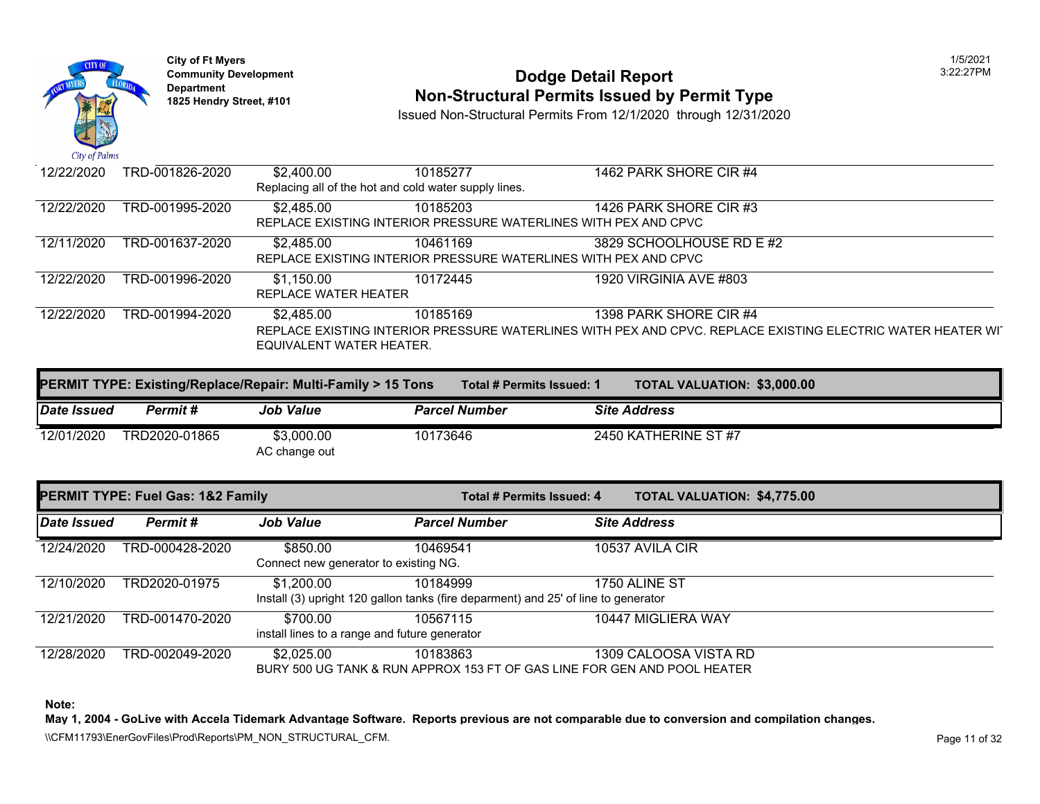

### **Community Developm[ent](https://2,485.00) 12:22:27 PODDE DETAIL Report 1825 Non-Structural Permits Issued by Permit Type**

Issued Non-Structural Permits From 12/1/2020 through 12/31/2020

| 12/22/2020 | TRD-001826-2020 | \$2,400.00<br>Replacing all of the hot and cold water supply lines. | 10185277                                                                    | 1462 PARK SHORE CIR #4                                                                                   |
|------------|-----------------|---------------------------------------------------------------------|-----------------------------------------------------------------------------|----------------------------------------------------------------------------------------------------------|
| 12/22/2020 | TRD-001995-2020 | \$2,485.00                                                          | 10185203<br>REPLACE EXISTING INTERIOR PRESSURE WATERLINES WITH PEX AND CPVC | 1426 PARK SHORE CIR #3                                                                                   |
| 12/11/2020 | TRD-001637-2020 | \$2,485.00                                                          | 10461169<br>REPLACE EXISTING INTERIOR PRESSURE WATERLINES WITH PEX AND CPVC | 3829 SCHOOLHOUSE RD E #2                                                                                 |
| 12/22/2020 | TRD-001996-2020 | \$1,150.00<br>REPLACE WATER HEATER                                  | 10172445                                                                    | 1920 VIRGINIA AVE #803                                                                                   |
| 12/22/2020 | TRD-001994-2020 | \$2,485.00<br>EQUIVALENT WATER HEATER.                              | 10185169                                                                    | 1398 PARK SHORE CIR #4<br>REPLACE EXISTING INTERIOR PRESSURE WATERLINES WITH PEX AND CPVC. REPLACE EXIST |

| <b>PERMIT TYPE: Existing/Replace/Repair: Multi-Family &gt; 15 Tons</b> |               |                             |                      | Total # Permits Issued: 1 | TOTAL VALUATION: \$3,000.0 |  |  |
|------------------------------------------------------------------------|---------------|-----------------------------|----------------------|---------------------------|----------------------------|--|--|
| Date Issued                                                            | Permit #      | <b>Job Value</b>            | <b>Parcel Number</b> |                           | <b>Site Address</b>        |  |  |
| 12/01/2020                                                             | TRD2020-01865 | \$3,000.00<br>AC change out | 10173646             |                           | 2450 KATHERINE ST #7       |  |  |

|             | <b>PERMIT TYPE: Fuel Gas: 1&amp;2 Family</b> |                                                           | Total # Permits Issued: 4                                                                      | <b>TOTAL VALUATION: \$4,775.0</b> |
|-------------|----------------------------------------------|-----------------------------------------------------------|------------------------------------------------------------------------------------------------|-----------------------------------|
| Date Issued | Permit#                                      | <b>Job Value</b>                                          | <b>Parcel Number</b>                                                                           | <b>Site Address</b>               |
| 12/24/2020  | TRD-000428-2020                              | \$850.00<br>Connect new generator to existing NG.         | 10469541                                                                                       | 10537 AVILA CIR                   |
| 12/10/2020  | TRD2020-01975                                | \$1,200.00                                                | 10184999<br>Install (3) upright 120 gallon tanks (fire deparment) and 25' of line to generator | 1750 ALINE ST                     |
| 12/21/2020  | TRD-001470-2020                              | \$700.00<br>install lines to a range and future generator | 10567115                                                                                       | 10447 MIGLIERA WAY                |
| 12/28/2020  | TRD-002049-2020                              | \$2,025.00                                                | 10183863<br>BURY 500 UG TANK & RUN APPROX 153 FT OF GAS LINE FOR GEN AND POOL HEATER           | 1309 CALOOSA VISTA RD             |

**Note:**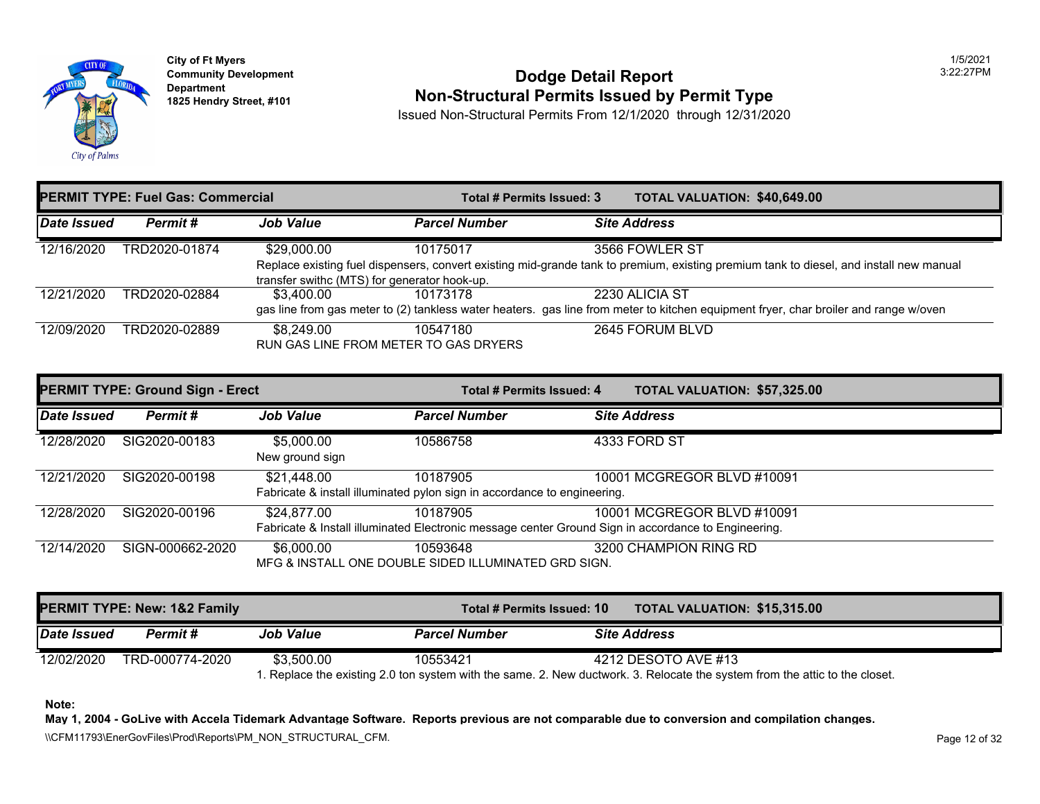

## **Community Development 2:22:27 POdge Detail Report 1825 Non-Structural Permits Issued by Permit Type**

Issued Non-Structural Permits From 12/1/2020 through 12/31/2020

| Date Issued<br><b>Parcel Number</b><br><b>Site Address</b><br><b>Job Value</b><br>Permit #                 |
|------------------------------------------------------------------------------------------------------------|
| 12/16/2020<br>TRD2020-01874<br>\$29,000.00<br>3566 FOWLER ST<br>10175017                                   |
| Replace existing fuel dispensers, convert existing mid-grande tank to premium, existing premium tank to    |
| transfer swithc (MTS) for generator hook-up.                                                               |
| 2230 ALICIA ST<br>12/21/2020<br>TRD2020-02884<br>\$3.400.00<br>10173178                                    |
| gas line from gas meter to (2) tankless water heaters. gas line from meter to kitchen equipment fryer, cha |
| 2645 FORUM BLVD<br>12/09/2020<br>TRD2020-02889<br>\$8.249.00<br>10547180                                   |
| RUN GAS LINE FROM METER TO GAS DRYERS                                                                      |

|             | <b>PERMIT TYPE: Ground Sign - Erect</b> |                               | Total # Permits Issued: 4                                                            | <b>TOTAL VALUATION: \$57,325</b>                                                                                                  |
|-------------|-----------------------------------------|-------------------------------|--------------------------------------------------------------------------------------|-----------------------------------------------------------------------------------------------------------------------------------|
| Date Issued | Permit#                                 | <b>Job Value</b>              | <b>Parcel Number</b>                                                                 | <b>Site Address</b>                                                                                                               |
| 12/28/2020  | SIG2020-00183                           | \$5,000,00<br>New ground sign | 10586758                                                                             | 4333 FORD ST                                                                                                                      |
| 12/21/2020  | SIG2020-00198                           | \$21,448.00                   | 10187905<br>Fabricate & install illuminated pylon sign in accordance to engineering. | 10001 MCGREGOR BLVD #10091                                                                                                        |
| 12/28/2020  | SIG2020-00196                           | \$24,877.00                   | 10187905                                                                             | 10001 MCGREGOR BLVD #10091<br>Fabricate & Install illuminated Electronic message center Ground Sign in accordance to Engineering. |
| 12/14/2020  | SIGN-000662-2020                        | \$6,000.00                    | 10593648<br>MFG & INSTALL ONE DOUBLE SIDED ILLUMINATED GRD SIGN.                     | 3200 CHAMPION RING RD                                                                                                             |

|                    | <b>PERMIT TYPE: New: 1&amp;2 Family</b> |                  | Total # Permits Issued: 10                                                                             |                     | <b>TOTAL VALUATION: \$15,315</b> |  |
|--------------------|-----------------------------------------|------------------|--------------------------------------------------------------------------------------------------------|---------------------|----------------------------------|--|
| <b>Date Issued</b> | Permit #                                | <b>Job Value</b> | <b>Parcel Number</b>                                                                                   | <b>Site Address</b> |                                  |  |
| 12/02/2020         | TRD-000774-2020                         | \$3.500.00       | 10553421                                                                                               |                     | 4212 DESOTO AVE #13              |  |
|                    |                                         |                  | 1. Replace the existing 2.0 ton system with the same. 2. New ductwork. 3. Relocate the system from the |                     |                                  |  |

**Note:**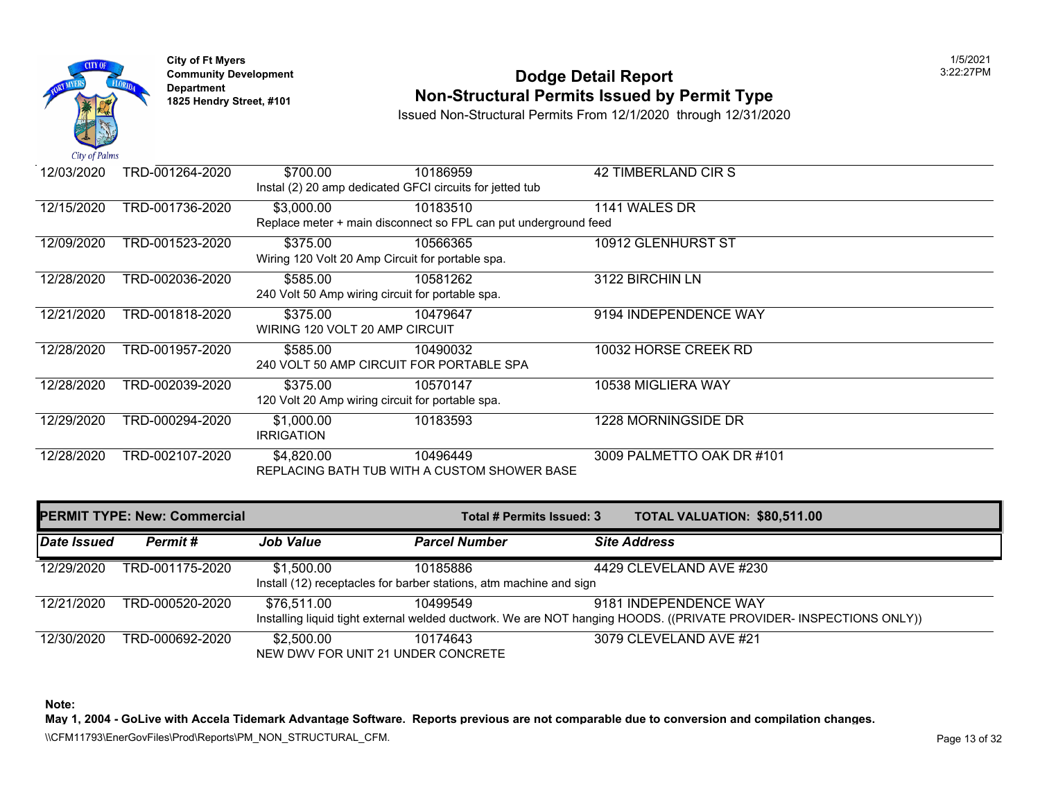

## **Community Development 2:22:27 POdge Detail Report 1825 Non-Structural Permits Issued by Permit Type**

Issued Non-Structural Permits From 12/1/2020 through 12/31/2020

| 12/03/2020 | TRD-001264-2020 | \$700.00                       | 10186959                                                        | 42 TIMBERLAND CIR S       |
|------------|-----------------|--------------------------------|-----------------------------------------------------------------|---------------------------|
|            |                 |                                | Instal (2) 20 amp dedicated GFCI circuits for jetted tub        |                           |
| 12/15/2020 | TRD-001736-2020 | \$3,000.00                     | 10183510                                                        | 1141 WALES DR             |
|            |                 |                                | Replace meter + main disconnect so FPL can put underground feed |                           |
| 12/09/2020 | TRD-001523-2020 | \$375.00                       | 10566365                                                        | 10912 GLENHURST ST        |
|            |                 |                                | Wiring 120 Volt 20 Amp Circuit for portable spa.                |                           |
| 12/28/2020 | TRD-002036-2020 | \$585.00                       | 10581262                                                        | 3122 BIRCHIN LN           |
|            |                 |                                | 240 Volt 50 Amp wiring circuit for portable spa.                |                           |
| 12/21/2020 | TRD-001818-2020 | \$375.00                       | 10479647                                                        | 9194 INDEPENDENCE WAY     |
|            |                 | WIRING 120 VOLT 20 AMP CIRCUIT |                                                                 |                           |
| 12/28/2020 | TRD-001957-2020 | \$585.00                       | 10490032                                                        | 10032 HORSE CREEK RD      |
|            |                 |                                | 240 VOLT 50 AMP CIRCUIT FOR PORTABLE SPA                        |                           |
| 12/28/2020 | TRD-002039-2020 | \$375.00                       | 10570147                                                        | 10538 MIGLIERA WAY        |
|            |                 |                                | 120 Volt 20 Amp wiring circuit for portable spa.                |                           |
| 12/29/2020 | TRD-000294-2020 | \$1,000.00                     | 10183593                                                        | 1228 MORNINGSIDE DR       |
|            |                 | <b>IRRIGATION</b>              |                                                                 |                           |
| 12/28/2020 | TRD-002107-2020 | \$4,820.00                     | 10496449                                                        | 3009 PALMETTO OAK DR #101 |
|            |                 |                                | REPLACING BATH TUB WITH A CUSTOM SHOWER BASE                    |                           |

|             | <b>PERMIT TYPE: New: Commercial</b> |                  | Total # Permits Issued: 3                                                                                      | <b>TOTAL VALUATION: \$80,511</b> |  |
|-------------|-------------------------------------|------------------|----------------------------------------------------------------------------------------------------------------|----------------------------------|--|
| Date Issued | Permit #                            | <b>Job Value</b> | <b>Parcel Number</b>                                                                                           | <b>Site Address</b>              |  |
| 12/29/2020  | TRD-001175-2020                     | \$1,500.00       | 10185886<br>Install (12) receptacles for barber stations, atm machine and sign                                 | 4429 CLEVELAND AVE #230          |  |
| 12/21/2020  | TRD-000520-2020                     | \$76,511.00      | 10499549<br>Installing liquid tight external welded ductwork. We are NOT hanging HOODS. ((PRIVATE PROVIDER- II | 9181 INDEPENDENCE WAY            |  |
| 12/30/2020  | TRD-000692-2020                     | \$2,500.00       | 10174643<br>NEW DWV FOR UNIT 21 UNDER CONCRETE                                                                 | 3079 CLEVELAND AVE #21           |  |

**Note:**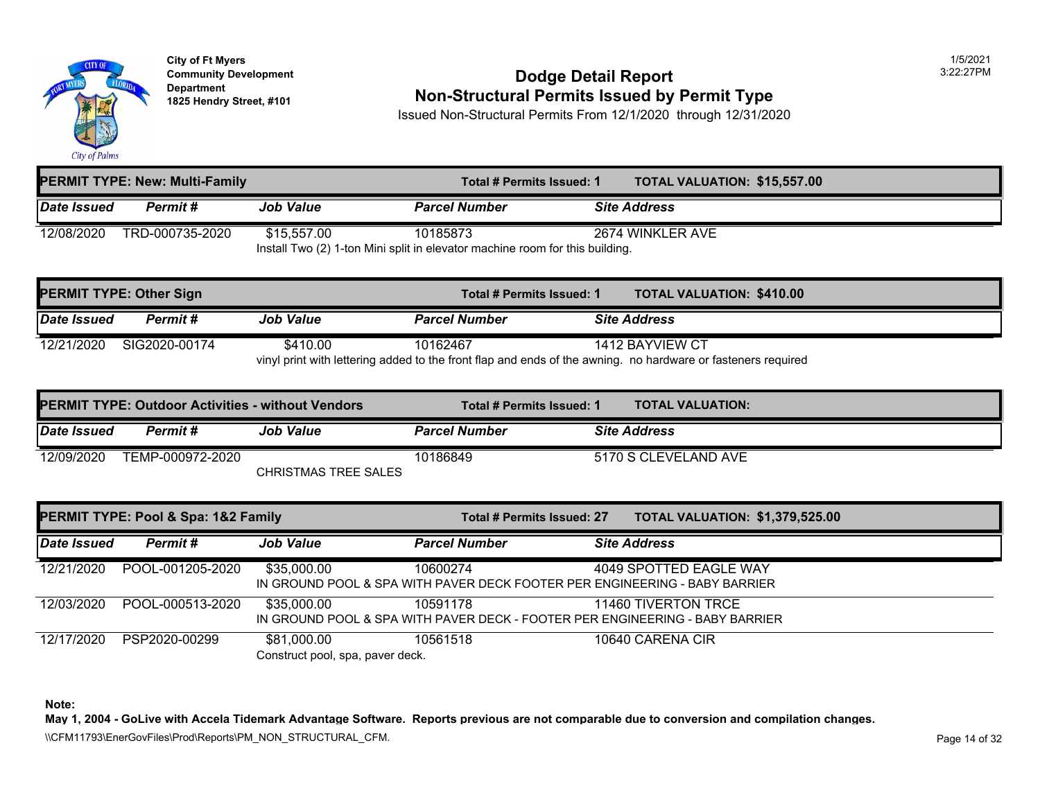

### **Community Development 2:22:27 POdge Detail Report 1825 Non-Structural Permits Issued by Permit Type**

Issued Non-Structural Permits From 12/1/2020 through 12/31/2020

| <b>PERMIT TYPE: New: Multi-Family</b> |                                                                              |                  | <b>TOTAL VALUATION: \$15,557</b><br>Total # Permits Issued: 1 |                     |                  |  |
|---------------------------------------|------------------------------------------------------------------------------|------------------|---------------------------------------------------------------|---------------------|------------------|--|
| Date Issued                           | <b>Permit #</b>                                                              | <b>Job Value</b> | <b>Parcel Number</b>                                          | <b>Site Address</b> |                  |  |
| 12/08/2020                            | TRD-000735-2020                                                              | \$15,557.00      | 10185873                                                      |                     | 2674 WINKLER AVE |  |
|                                       | Install Two (2) 1-ton Mini split in elevator machine room for this building. |                  |                                                               |                     |                  |  |

|             | <b>PERMIT TYPE: Other Sign</b> |                  | Total # Permits Issued: 1 | <b>TOTAL VALUATION: \$410.00</b>                                                                                                |  |
|-------------|--------------------------------|------------------|---------------------------|---------------------------------------------------------------------------------------------------------------------------------|--|
| Date Issued | Permit #                       | <b>Job Value</b> | <b>Parcel Number</b>      | <b>Site Address</b>                                                                                                             |  |
| 12/21/2020  | SIG2020-00174                  | \$410.00         | 10162467                  | 1412 BAYVIEW CT<br>vinyl print with lettering added to the front flap and ends of the awning. no hardware or fasteners required |  |

|             | <b>PERMIT TYPE: Outdoor Activities - without Vendors</b> |                      | Total # Permits Issued: 1 | <b>TOTAL VALUATION:</b> |
|-------------|----------------------------------------------------------|----------------------|---------------------------|-------------------------|
| Date Issued | Permit #                                                 | <b>Job Value</b>     | <b>Parcel Number</b>      | <b>Site Address</b>     |
| 12/09/2020  | TEMP-000972-2020                                         | CHRISTMAS TREE SALES | 10186849                  | 5170 S CLEVELAND AVE    |

|             | PERMIT TYPE: Pool & Spa: 1&2 Family |                                                 | Total # Permits Issued: 27 | <b>TOTAL VALUATION: \$1,379,5</b>                                                                    |
|-------------|-------------------------------------|-------------------------------------------------|----------------------------|------------------------------------------------------------------------------------------------------|
| Date Issued | Permit#                             | <b>Job Value</b>                                | <b>Parcel Number</b>       | <b>Site Address</b>                                                                                  |
| 12/21/2020  | POOL-001205-2020                    | \$35,000.00                                     | 10600274                   | 4049 SPOTTED EAGLE WAY<br>IN GROUND POOL & SPA WITH PAVER DECK FOOTER PER ENGINEERING - BABY BARRIER |
| 12/03/2020  | POOL-000513-2020                    | \$35,000.00                                     | 10591178                   | 11460 TIVERTON TRCE<br>IN GROUND POOL & SPA WITH PAVER DECK - FOOTER PER ENGINEERING - BABY BARRIER  |
| 12/17/2020  | PSP2020-00299                       | \$81,000.00<br>Construct pool, spa, paver deck. | 10561518                   | 10640 CARENA CIR                                                                                     |

**Note:**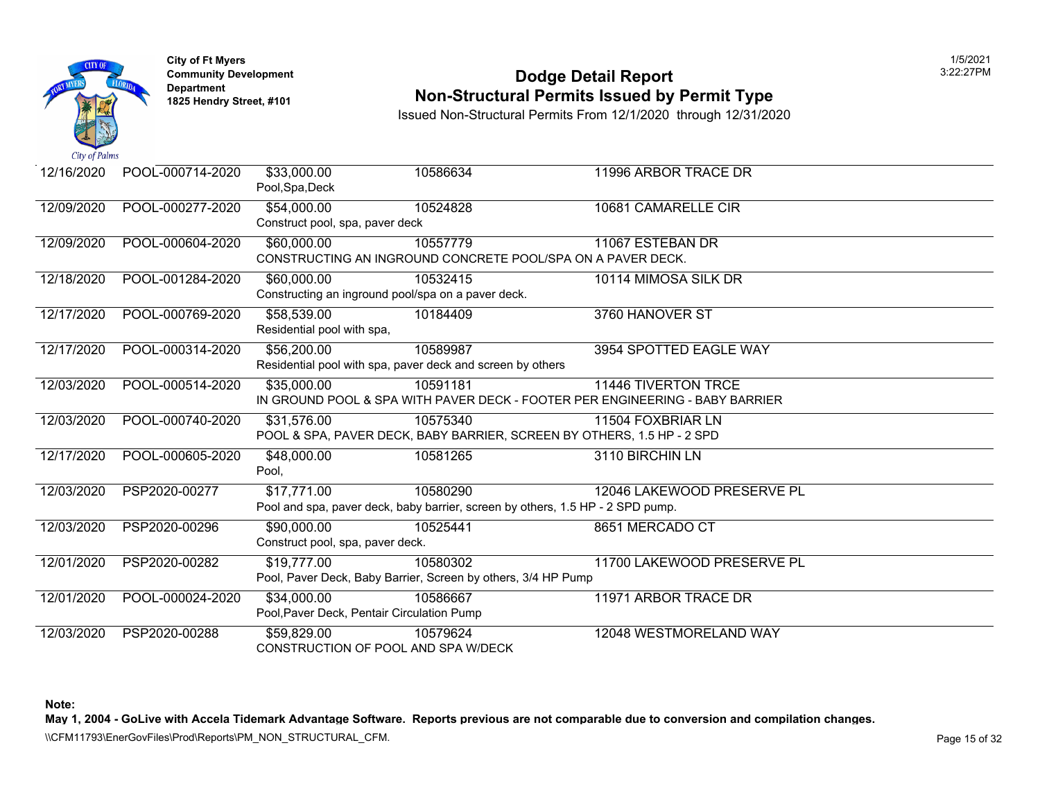

### **Community Develop[ment](https://58,539.00) 12:22:27 PODDE DETAIL Report Non-Structural Permits Issued by Permit Type**

Issued Non-Structural Permits From 12/1/2020 through 12/31/2020

| 12/16/2020 | POOL-000714-2020 | \$33,000.00<br>Pool, Spa, Deck   | 10586634                                                                       | 11996 ARBOR TRACE DR                                                         |
|------------|------------------|----------------------------------|--------------------------------------------------------------------------------|------------------------------------------------------------------------------|
| 12/09/2020 | POOL-000277-2020 | \$54,000.00                      | 10524828                                                                       | 10681 CAMARELLE CIR                                                          |
|            |                  | Construct pool, spa, paver deck  |                                                                                |                                                                              |
| 12/09/2020 | POOL-000604-2020 | \$60,000.00                      | 10557779                                                                       | 11067 ESTEBAN DR                                                             |
|            |                  |                                  | CONSTRUCTING AN INGROUND CONCRETE POOL/SPA ON A PAVER DECK.                    |                                                                              |
| 12/18/2020 | POOL-001284-2020 | \$60,000.00                      | 10532415                                                                       | 10114 MIMOSA SILK DR                                                         |
|            |                  |                                  | Constructing an inground pool/spa on a paver deck.                             |                                                                              |
| 12/17/2020 | POOL-000769-2020 | \$58,539.00                      | 10184409                                                                       | 3760 HANOVER ST                                                              |
|            |                  | Residential pool with spa,       |                                                                                |                                                                              |
| 12/17/2020 | POOL-000314-2020 | \$56,200.00                      | 10589987                                                                       | 3954 SPOTTED EAGLE WAY                                                       |
|            |                  |                                  | Residential pool with spa, paver deck and screen by others                     |                                                                              |
| 12/03/2020 | POOL-000514-2020 | \$35,000.00                      | 10591181                                                                       | <b>11446 TIVERTON TRCE</b>                                                   |
|            |                  |                                  |                                                                                | IN GROUND POOL & SPA WITH PAVER DECK - FOOTER PER ENGINEERING - BABY BARRIER |
| 12/03/2020 | POOL-000740-2020 | \$31,576.00                      | 10575340                                                                       | 11504 FOXBRIAR LN                                                            |
|            |                  |                                  | POOL & SPA, PAVER DECK, BABY BARRIER, SCREEN BY OTHERS, 1.5 HP - 2 SPD         |                                                                              |
| 12/17/2020 | POOL-000605-2020 | \$48,000.00                      | 10581265                                                                       | 3110 BIRCHIN LN                                                              |
|            |                  | Pool,                            |                                                                                |                                                                              |
| 12/03/2020 | PSP2020-00277    | \$17,771.00                      | 10580290                                                                       | 12046 LAKEWOOD PRESERVE PL                                                   |
|            |                  |                                  | Pool and spa, paver deck, baby barrier, screen by others, 1.5 HP - 2 SPD pump. |                                                                              |
| 12/03/2020 | PSP2020-00296    | \$90,000.00                      | 10525441                                                                       | 8651 MERCADO CT                                                              |
|            |                  | Construct pool, spa, paver deck. |                                                                                |                                                                              |
| 12/01/2020 | PSP2020-00282    | \$19,777.00                      | 10580302                                                                       | 11700 LAKEWOOD PRESERVE PL                                                   |
|            |                  |                                  | Pool, Paver Deck, Baby Barrier, Screen by others, 3/4 HP Pump                  |                                                                              |
| 12/01/2020 | POOL-000024-2020 | $\sqrt{334,000.00}$              | 10586667                                                                       | 11971 ARBOR TRACE DR                                                         |
|            |                  |                                  | Pool, Paver Deck, Pentair Circulation Pump                                     |                                                                              |
| 12/03/2020 | PSP2020-00288    | \$59,829.00                      | 10579624                                                                       | 12048 WESTMORELAND WAY                                                       |
|            |                  |                                  | CONSTRUCTION OF POOL AND SPA W/DECK                                            |                                                                              |

**Note:**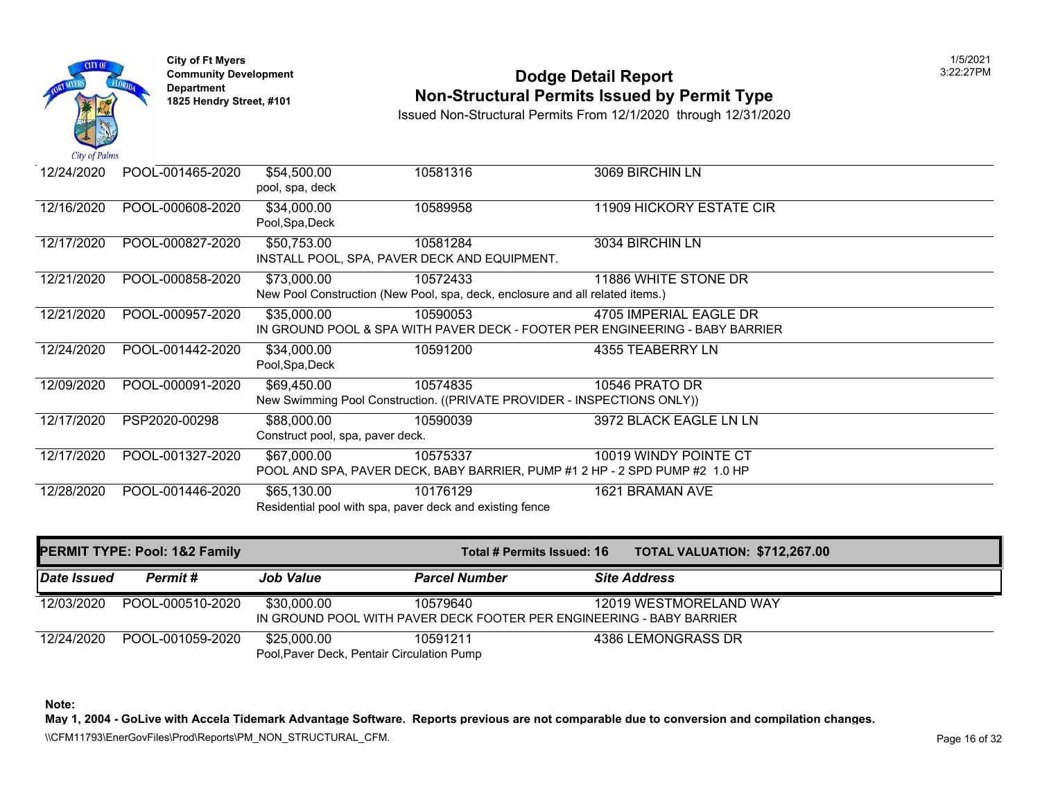

## **Community Development Community Development** 3:22:27PM Dodge Detail Report **1825 Non-Structural Permits Issued by Permit Type**

Issued Non-Structural Permits From 12/1/2020 through 12/31/2020

| 12/24/2020 | POOL-001465-2020 | \$54,500.00<br>pool, spa, deck                  | 10581316                                                                                  | 3069 BIRCHIN LN                                                                                        |
|------------|------------------|-------------------------------------------------|-------------------------------------------------------------------------------------------|--------------------------------------------------------------------------------------------------------|
| 12/16/2020 | POOL-000608-2020 | \$34,000.00<br>Pool, Spa, Deck                  | 10589958                                                                                  | 11909 HICKORY ESTATE CIR                                                                               |
| 12/17/2020 | POOL-000827-2020 | \$50,753.00                                     | 10581284<br>INSTALL POOL, SPA, PAVER DECK AND EQUIPMENT.                                  | 3034 BIRCHIN LN                                                                                        |
| 12/21/2020 | POOL-000858-2020 | \$73,000.00                                     | 10572433<br>New Pool Construction (New Pool, spa, deck, enclosure and all related items.) | 11886 WHITE STONE DR                                                                                   |
| 12/21/2020 | POOL-000957-2020 | \$35,000.00                                     | 10590053                                                                                  | 4705 IMPERIAL EAGLE DR<br>IN GROUND POOL & SPA WITH PAVER DECK - FOOTER PER ENGINEERING - BABY BARRIER |
| 12/24/2020 | POOL-001442-2020 | \$34,000.00<br>Pool, Spa, Deck                  | 10591200                                                                                  | 4355 TEABERRY LN                                                                                       |
| 12/09/2020 | POOL-000091-2020 | \$69,450.00                                     | 10574835<br>New Swimming Pool Construction. ((PRIVATE PROVIDER - INSPECTIONS ONLY))       | 10546 PRATO DR                                                                                         |
| 12/17/2020 | PSP2020-00298    | \$88,000.00<br>Construct pool, spa, paver deck. | 10590039                                                                                  | 3972 BLACK EAGLE LN LN                                                                                 |
| 12/17/2020 | POOL-001327-2020 | \$67,000.00                                     | 10575337<br>POOL AND SPA, PAVER DECK, BABY BARRIER, PUMP #1 2 HP - 2 SPD PUMP #2 1.0 HP   | 10019 WINDY POINTE CT                                                                                  |
| 12/28/2020 | POOL-001446-2020 | \$65,130.00                                     | 10176129<br>Residential pool with spa, paver deck and existing fence                      | 1621 BRAMAN AVE                                                                                        |

|                    | <b>PERMIT TYPE: Pool: 1&amp;2 Family</b> |                                                           | Total # Permits Issued: 16                                                       | <b>TOTAL VALUATION: \$712,26</b> |
|--------------------|------------------------------------------|-----------------------------------------------------------|----------------------------------------------------------------------------------|----------------------------------|
| <b>Date Issued</b> | <b>Permit #</b>                          | <b>Job Value</b>                                          | <b>Parcel Number</b>                                                             | <b>Site Address</b>              |
| 12/03/2020         | POOL-000510-2020                         | \$30,000.00                                               | 10579640<br>IN GROUND POOL WITH PAVER DECK FOOTER PER ENGINEERING - BABY BARRIER | 12019 WESTMORELAND WAY           |
| 12/24/2020         | POOL-001059-2020                         | \$25,000.00<br>Pool, Paver Deck, Pentair Circulation Pump | 10591211                                                                         | 4386 LEMONGRASS DR               |

**Note:**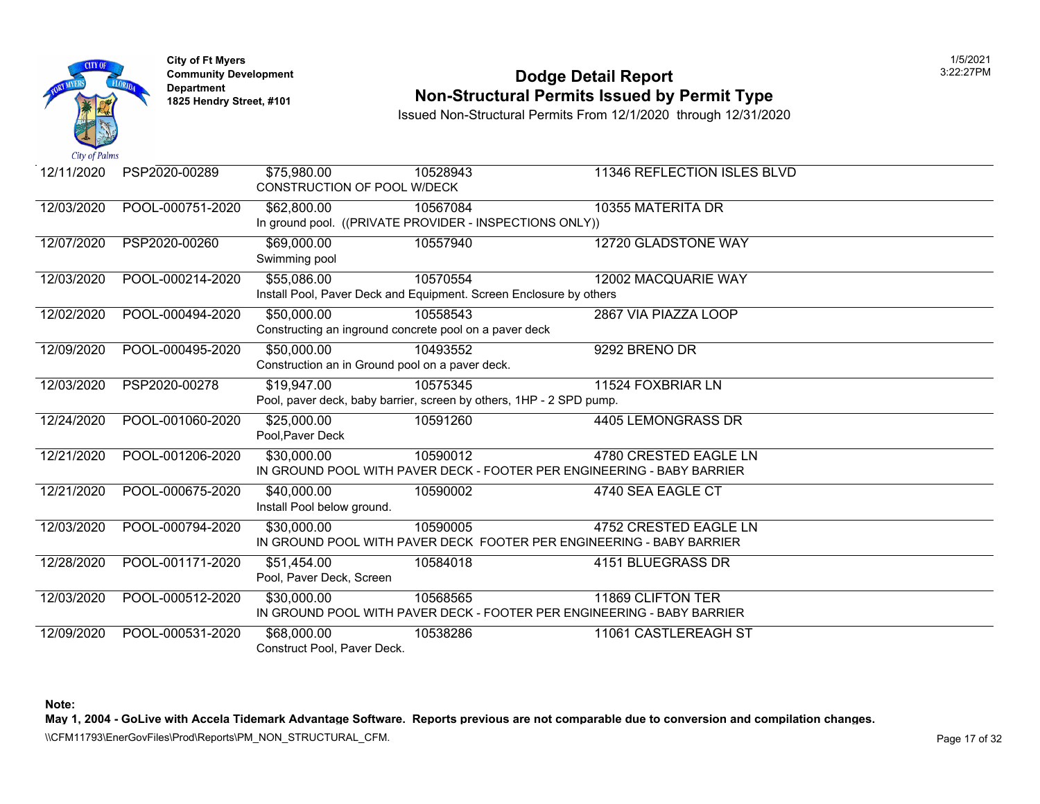

### **Community Develop[ment](https://50,000.00) 12:22:27 Personal property Development 12:27 Pool Dodge Detail Report Non-Structural Permits Issued by Permit Type**

Issued Non-Structural Permits From 12/1/2020 through 12/31/2020

| 12/11/2020 | PSP2020-00289    | \$75,980.00                        | 10528943                                                            | 11346 REFLECTION ISLES BLVD                                            |
|------------|------------------|------------------------------------|---------------------------------------------------------------------|------------------------------------------------------------------------|
|            |                  | <b>CONSTRUCTION OF POOL W/DECK</b> |                                                                     |                                                                        |
| 12/03/2020 | POOL-000751-2020 | \$62,800.00                        | 10567084                                                            | 10355 MATERITA DR                                                      |
|            |                  |                                    | In ground pool. ((PRIVATE PROVIDER - INSPECTIONS ONLY))             |                                                                        |
| 12/07/2020 | PSP2020-00260    | \$69,000.00                        | 10557940                                                            | 12720 GLADSTONE WAY                                                    |
|            |                  | Swimming pool                      |                                                                     |                                                                        |
| 12/03/2020 | POOL-000214-2020 | \$55,086.00                        | 10570554                                                            | 12002 MACQUARIE WAY                                                    |
|            |                  |                                    | Install Pool, Paver Deck and Equipment. Screen Enclosure by others  |                                                                        |
| 12/02/2020 | POOL-000494-2020 | \$50,000.00                        | 10558543                                                            | 2867 VIA PIAZZA LOOP                                                   |
|            |                  |                                    | Constructing an inground concrete pool on a paver deck              |                                                                        |
| 12/09/2020 | POOL-000495-2020 | \$50,000.00                        | 10493552                                                            | 9292 BRENO DR                                                          |
|            |                  |                                    | Construction an in Ground pool on a paver deck.                     |                                                                        |
| 12/03/2020 | PSP2020-00278    | \$19,947.00                        | 10575345                                                            | 11524 FOXBRIAR LN                                                      |
|            |                  |                                    | Pool, paver deck, baby barrier, screen by others, 1HP - 2 SPD pump. |                                                                        |
| 12/24/2020 | POOL-001060-2020 | \$25,000.00                        | 10591260                                                            | 4405 LEMONGRASS DR                                                     |
|            |                  | Pool, Paver Deck                   |                                                                     |                                                                        |
| 12/21/2020 | POOL-001206-2020 | \$30,000.00                        | 10590012                                                            | 4780 CRESTED EAGLE LN                                                  |
|            |                  |                                    |                                                                     | IN GROUND POOL WITH PAVER DECK - FOOTER PER ENGINEERING - BABY BARRIER |
| 12/21/2020 | POOL-000675-2020 | \$40,000.00                        | 10590002                                                            | 4740 SEA EAGLE CT                                                      |
|            |                  | Install Pool below ground.         |                                                                     |                                                                        |
| 12/03/2020 | POOL-000794-2020 | \$30,000.00                        | 10590005                                                            | <b>4752 CRESTED EAGLE LN</b>                                           |
|            |                  |                                    |                                                                     | IN GROUND POOL WITH PAVER DECK FOOTER PER ENGINEERING - BABY BARRIER   |
| 12/28/2020 | POOL-001171-2020 | \$51,454.00                        | 10584018                                                            | 4151 BLUEGRASS DR                                                      |
|            |                  | Pool, Paver Deck, Screen           |                                                                     |                                                                        |
| 12/03/2020 | POOL-000512-2020 | \$30,000.00                        | 10568565                                                            | 11869 CLIFTON TER                                                      |
|            |                  |                                    |                                                                     | IN GROUND POOL WITH PAVER DECK - FOOTER PER ENGINEERING - BABY BARRIER |
| 12/09/2020 | POOL-000531-2020 | \$68,000.00                        | 10538286                                                            | 11061 CASTLEREAGH ST                                                   |
|            |                  | Construct Pool, Paver Deck.        |                                                                     |                                                                        |

**Note:**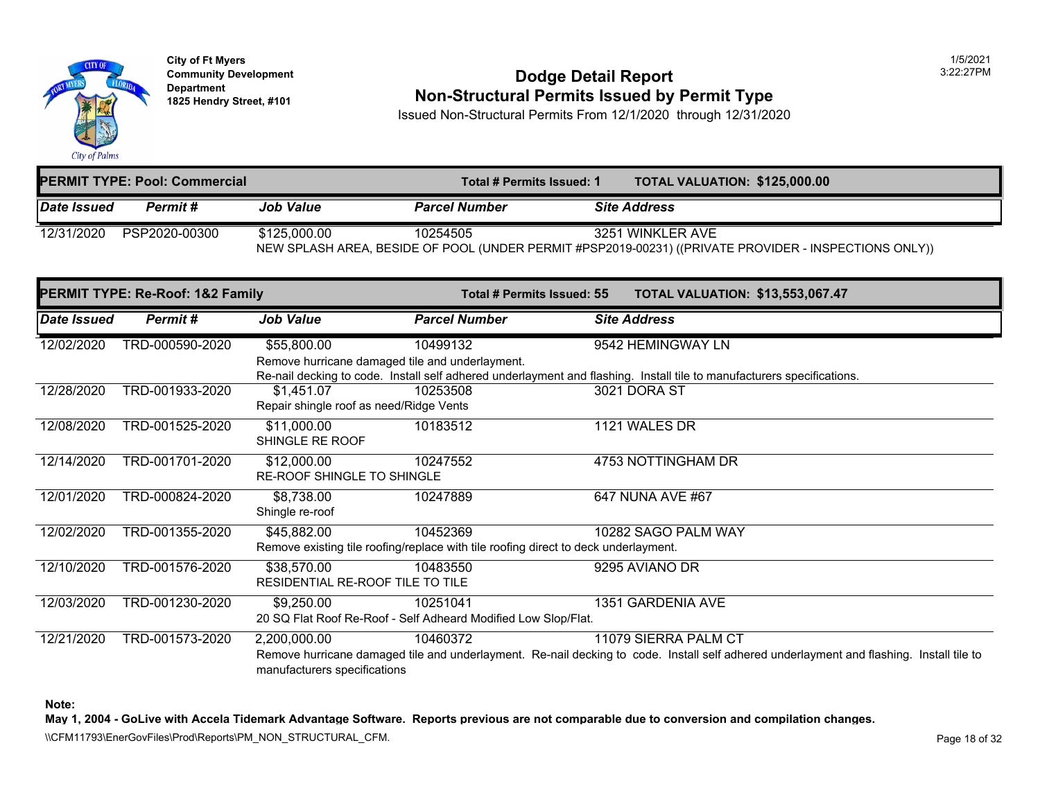

### **Community Development 2:22:27 POdge Detail Report 1825 Non-Structural Permits Issued by Permit Type**

Issued Non-Structural Permits From 12/1/2020 through 12/31/2020

| <b>PERMIT TYPE: Pool: Commercial</b> |               |                  | <b>TOTAL VALUATION: \$125,00</b><br>Total # Permits Issued: 1                                  |  |                     |  |
|--------------------------------------|---------------|------------------|------------------------------------------------------------------------------------------------|--|---------------------|--|
| <b>IDate Issued</b>                  | Permit #      | <b>Job Value</b> | <b>Parcel Number</b>                                                                           |  | <b>Site Address</b> |  |
| 12/31/2020                           | PSP2020-00300 | \$125,000,00     | 10254505<br>NEW SPLASH AREA, BESIDE OF POOL (UNDER PERMIT #PSP2019-00231) ((PRIVATE PROVIDER ▌ |  | 3251 WINKLER AVE    |  |

|             | PERMIT TYPE: Re-Roof: 1&2 Family |                                         | Total # Permits Issued: 55                                                          | <b>TOTAL VALUATION: \$13,553</b>                                                                           |  |
|-------------|----------------------------------|-----------------------------------------|-------------------------------------------------------------------------------------|------------------------------------------------------------------------------------------------------------|--|
| Date Issued | Permit#                          | <b>Job Value</b>                        | <b>Parcel Number</b>                                                                | <b>Site Address</b>                                                                                        |  |
| 12/02/2020  | TRD-000590-2020                  | \$55,800.00                             | 10499132                                                                            | 9542 HEMINGWAY LN                                                                                          |  |
|             |                                  |                                         | Remove hurricane damaged tile and underlayment.                                     |                                                                                                            |  |
|             |                                  |                                         |                                                                                     | Re-nail decking to code. Install self adhered underlayment and flashing. Install tile to manufacturers spe |  |
| 12/28/2020  | TRD-001933-2020                  | \$1,451.07                              | 10253508                                                                            | 3021 DORA ST                                                                                               |  |
|             |                                  | Repair shingle roof as need/Ridge Vents |                                                                                     |                                                                                                            |  |
| 12/08/2020  | TRD-001525-2020                  | \$11,000.00                             | 10183512                                                                            | 1121 WALES DR                                                                                              |  |
|             |                                  | SHINGLE RE ROOF                         |                                                                                     |                                                                                                            |  |
| 12/14/2020  | TRD-001701-2020                  | \$12,000.00                             | 10247552                                                                            | 4753 NOTTINGHAM DR                                                                                         |  |
|             |                                  | RE-ROOF SHINGLE TO SHINGLE              |                                                                                     |                                                                                                            |  |
| 12/01/2020  | TRD-000824-2020                  | \$8,738.00                              | 10247889                                                                            | 647 NUNA AVE #67                                                                                           |  |
|             |                                  | Shingle re-roof                         |                                                                                     |                                                                                                            |  |
| 12/02/2020  | TRD-001355-2020                  | \$45,882.00                             | 10452369                                                                            | 10282 SAGO PALM WAY                                                                                        |  |
|             |                                  |                                         | Remove existing tile roofing/replace with tile roofing direct to deck underlayment. |                                                                                                            |  |
| 12/10/2020  | TRD-001576-2020                  | \$38,570.00                             | 10483550                                                                            | 9295 AVIANO DR                                                                                             |  |
|             |                                  | RESIDENTIAL RE-ROOF TILE TO TILE        |                                                                                     |                                                                                                            |  |
| 12/03/2020  | TRD-001230-2020                  | \$9,250.00                              | 10251041                                                                            | 1351 GARDENIA AVE                                                                                          |  |
|             |                                  |                                         | 20 SQ Flat Roof Re-Roof - Self Adheard Modified Low Slop/Flat.                      |                                                                                                            |  |
| 12/21/2020  | TRD-001573-2020                  | 2,200,000.00                            | 10460372                                                                            | 11079 SIERRA PALM CT                                                                                       |  |
|             |                                  | manufacturers specifications            |                                                                                     | Remove hurricane damaged tile and underlayment. Re-nail decking to code. Install self adhered underl       |  |

**Note:**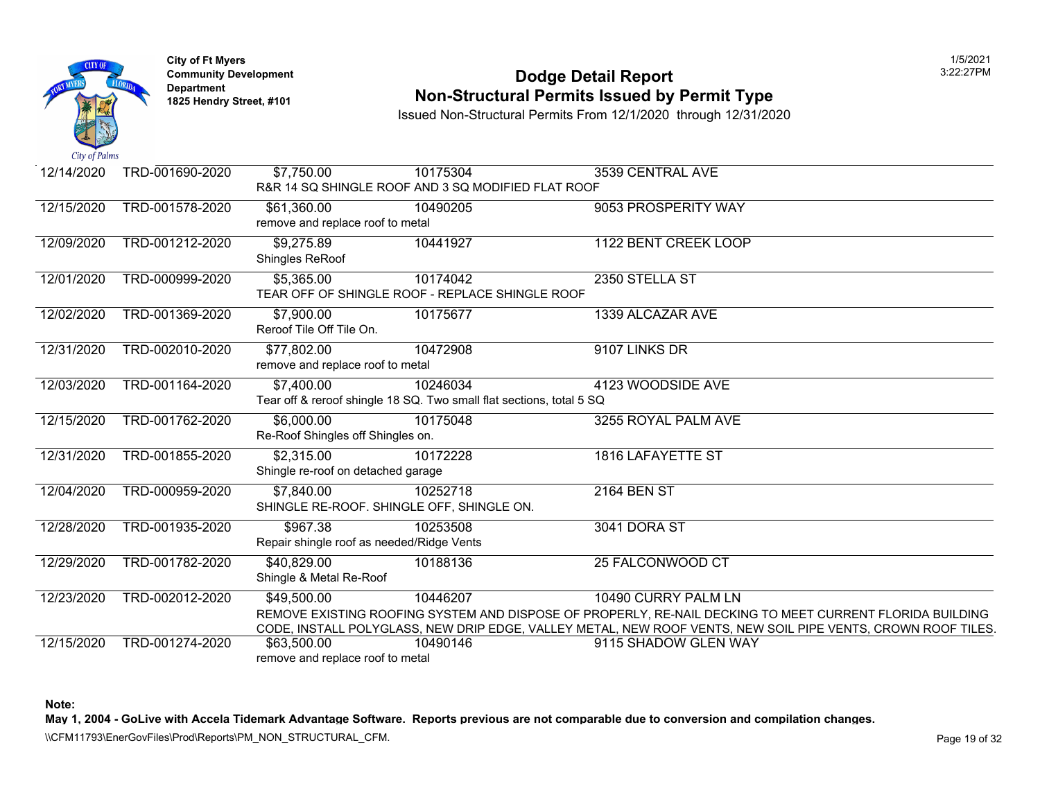

### **Community Developm[ent](https://7,900.00) 12:22:27 PODDE DETAIL Report 1825 Non-Structural Permits Issued by Permit Type**

Issued Non-Structural Permits From 12/1/2020 through 12/31/2020

| 12/14/2020 | TRD-001690-2020 | \$7,750.00                                              | 10175304<br>R&R 14 SQ SHINGLE ROOF AND 3 SQ MODIFIED FLAT ROOF                   | 3539 CENTRAL AVE                                                                                      |
|------------|-----------------|---------------------------------------------------------|----------------------------------------------------------------------------------|-------------------------------------------------------------------------------------------------------|
| 12/15/2020 | TRD-001578-2020 | \$61,360.00                                             | 10490205                                                                         | 9053 PROSPERITY WAY                                                                                   |
|            |                 | remove and replace roof to metal                        |                                                                                  |                                                                                                       |
| 12/09/2020 | TRD-001212-2020 | \$9,275.89<br>Shingles ReRoof                           | 10441927                                                                         | 1122 BENT CREEK LOOP                                                                                  |
| 12/01/2020 | TRD-000999-2020 | \$5,365.00                                              | 10174042<br>TEAR OFF OF SHINGLE ROOF - REPLACE SHINGLE ROOF                      | 2350 STELLA ST                                                                                        |
| 12/02/2020 | TRD-001369-2020 | \$7,900.00<br>Reroof Tile Off Tile On.                  | 10175677                                                                         | 1339 ALCAZAR AVE                                                                                      |
| 12/31/2020 | TRD-002010-2020 | \$77,802.00<br>remove and replace roof to metal         | 10472908                                                                         | 9107 LINKS DR                                                                                         |
| 12/03/2020 | TRD-001164-2020 | \$7,400.00                                              | 10246034<br>Tear off & reroof shingle 18 SQ. Two small flat sections, total 5 SQ | 4123 WOODSIDE AVE                                                                                     |
| 12/15/2020 | TRD-001762-2020 | \$6,000.00<br>Re-Roof Shingles off Shingles on.         | 10175048                                                                         | 3255 ROYAL PALM AVE                                                                                   |
| 12/31/2020 | TRD-001855-2020 | \$2,315.00<br>Shingle re-roof on detached garage        | 10172228                                                                         | 1816 LAFAYETTE ST                                                                                     |
| 12/04/2020 | TRD-000959-2020 | \$7,840.00<br>SHINGLE RE-ROOF. SHINGLE OFF, SHINGLE ON. | 10252718                                                                         | 2164 BEN ST                                                                                           |
| 12/28/2020 | TRD-001935-2020 | \$967.38<br>Repair shingle roof as needed/Ridge Vents   | 10253508                                                                         | 3041 DORA ST                                                                                          |
| 12/29/2020 | TRD-001782-2020 | \$40,829.00<br>Shingle & Metal Re-Roof                  | 10188136                                                                         | 25 FALCONWOOD CT                                                                                      |
| 12/23/2020 | TRD-002012-2020 | \$49,500.00                                             | 10446207                                                                         | 10490 CURRY PALM LN<br>REMOVE EXISTING ROOFING SYSTEM AND DISPOSE OF PROPERLY, RE-NAIL DECKING TO MEE |
|            |                 |                                                         |                                                                                  | CODE, INSTALL POLYGLASS, NEW DRIP EDGE, VALLEY METAL, NEW ROOF VENTS, NEW SOIL P                      |
| 12/15/2020 | TRD-001274-2020 | \$63,500.00<br>remove and replace roof to metal         | 10490146                                                                         | 9115 SHADOW GLEN WAY                                                                                  |

**Note:**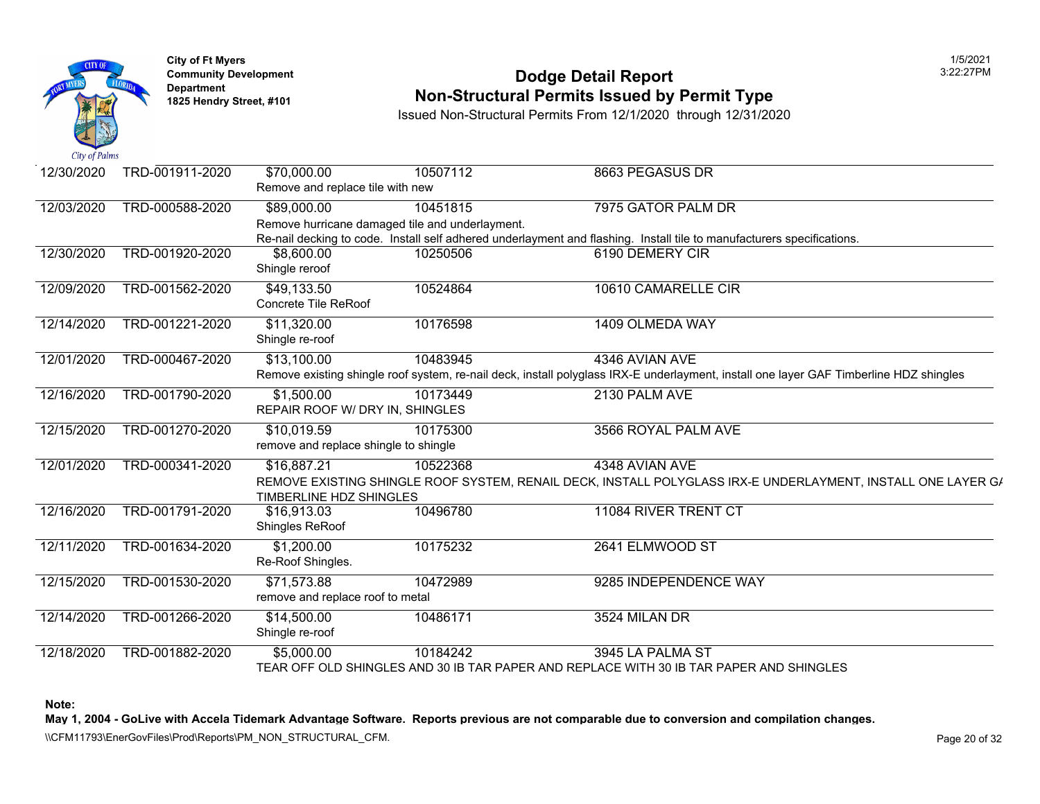

## **Community Development 2:22:27 POdge Detail Report Non-Structural Permits Issued by Permit Type**

Issued Non-Structural Permits From 12/1/2020 through 12/31/2020

| 12/30/2020 | TRD-001911-2020 | \$70,000.00                           | 10507112                                        | 8663 PEGASUS DR                                                                                            |
|------------|-----------------|---------------------------------------|-------------------------------------------------|------------------------------------------------------------------------------------------------------------|
|            |                 | Remove and replace tile with new      |                                                 |                                                                                                            |
| 12/03/2020 | TRD-000588-2020 | \$89,000.00                           | 10451815                                        | 7975 GATOR PALM DR                                                                                         |
|            |                 |                                       | Remove hurricane damaged tile and underlayment. |                                                                                                            |
|            |                 |                                       |                                                 | Re-nail decking to code. Install self adhered underlayment and flashing. Install tile to manufacturers spe |
| 12/30/2020 | TRD-001920-2020 | \$8,600.00                            | 10250506                                        | 6190 DEMERY CIR                                                                                            |
|            |                 | Shingle reroof                        |                                                 |                                                                                                            |
| 12/09/2020 | TRD-001562-2020 | \$49,133.50                           | 10524864                                        | 10610 CAMARELLE CIR                                                                                        |
|            |                 | Concrete Tile ReRoof                  |                                                 |                                                                                                            |
| 12/14/2020 | TRD-001221-2020 | \$11,320.00                           | 10176598                                        | 1409 OLMEDA WAY                                                                                            |
|            |                 | Shingle re-roof                       |                                                 |                                                                                                            |
| 12/01/2020 | TRD-000467-2020 | \$13,100.00                           | 10483945                                        | 4346 AVIAN AVE                                                                                             |
|            |                 |                                       |                                                 | Remove existing shingle roof system, re-nail deck, install polyglass IRX-E underlayment, install one layer |
| 12/16/2020 | TRD-001790-2020 | \$1,500.00                            | 10173449                                        | 2130 PALM AVE                                                                                              |
|            |                 | REPAIR ROOF W/ DRY IN, SHINGLES       |                                                 |                                                                                                            |
| 12/15/2020 | TRD-001270-2020 | \$10,019.59                           | 10175300                                        | 3566 ROYAL PALM AVE                                                                                        |
|            |                 | remove and replace shingle to shingle |                                                 |                                                                                                            |
| 12/01/2020 | TRD-000341-2020 | \$16,887.21                           | 10522368                                        | 4348 AVIAN AVE                                                                                             |
|            |                 |                                       |                                                 | REMOVE EXISTING SHINGLE ROOF SYSTEM, RENAIL DECK, INSTALL POLYGLASS IRX-E UNDER                            |
|            |                 | TIMBERLINE HDZ SHINGLES               |                                                 |                                                                                                            |
| 12/16/2020 | TRD-001791-2020 | \$16,913.03                           | 10496780                                        | 11084 RIVER TRENT CT                                                                                       |
|            |                 | Shingles ReRoof                       |                                                 |                                                                                                            |
| 12/11/2020 | TRD-001634-2020 | \$1,200.00                            | 10175232                                        | 2641 ELMWOOD ST                                                                                            |
|            |                 | Re-Roof Shingles.                     |                                                 |                                                                                                            |
| 12/15/2020 | TRD-001530-2020 | \$71,573.88                           | 10472989                                        | 9285 INDEPENDENCE WAY                                                                                      |
|            |                 | remove and replace roof to metal      |                                                 |                                                                                                            |
| 12/14/2020 | TRD-001266-2020 | \$14,500.00                           | 10486171                                        | 3524 MILAN DR                                                                                              |
|            |                 | Shingle re-roof                       |                                                 |                                                                                                            |
| 12/18/2020 | TRD-001882-2020 | \$5,000.00                            | 10184242                                        | 3945 LA PALMA ST                                                                                           |
|            |                 |                                       |                                                 | TEAR OFF OLD SHINGLES AND 30 IB TAR PAPER AND REPLACE WITH 30 IB TAR PAPER AND SH                          |

**Note:**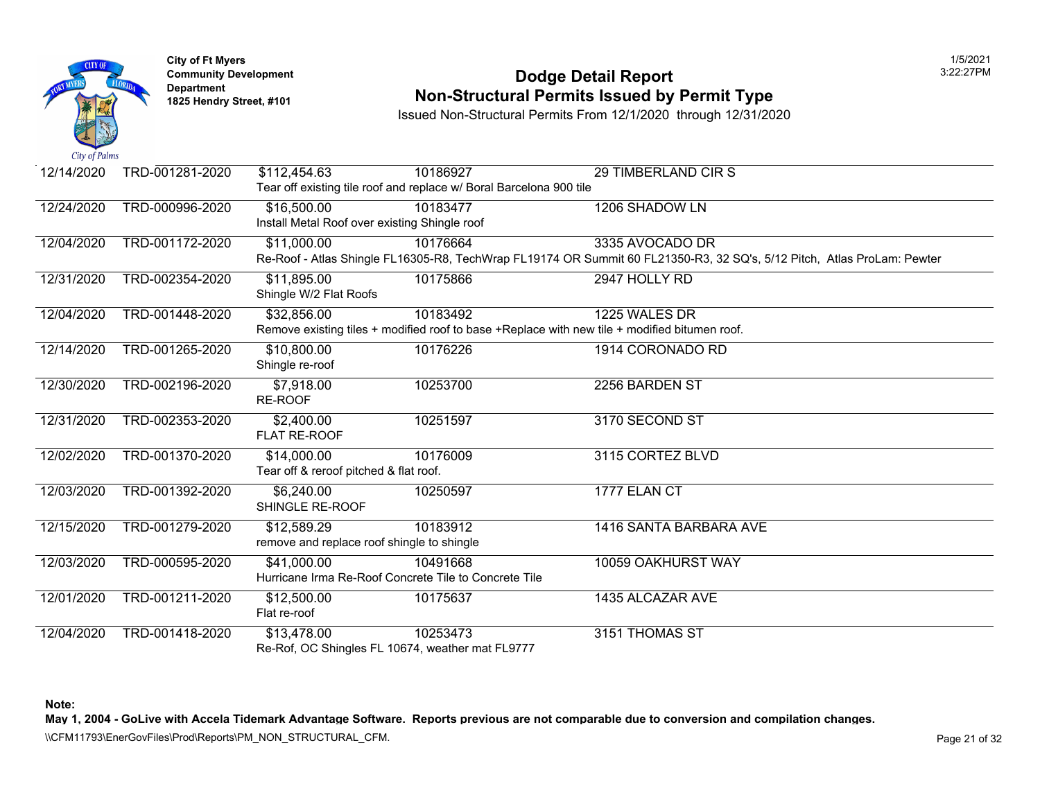

### **Community Develop[ment](https://32,856.00) 12:22:27 PODDE DETAIL Report Non-Structural Permits Issued by Permit Type**

Issued Non-Structural Permits From 12/1/2020 through 12/31/2020

| 12/14/2020 | TRD-001281-2020 | \$112,454.63                                  | 10186927                                                                                      | 29 TIMBERLAND CIR S                                                                             |
|------------|-----------------|-----------------------------------------------|-----------------------------------------------------------------------------------------------|-------------------------------------------------------------------------------------------------|
|            |                 |                                               | Tear off existing tile roof and replace w/ Boral Barcelona 900 tile                           |                                                                                                 |
| 12/24/2020 | TRD-000996-2020 | \$16,500.00                                   | 10183477                                                                                      | 1206 SHADOW LN                                                                                  |
|            |                 | Install Metal Roof over existing Shingle roof |                                                                                               |                                                                                                 |
| 12/04/2020 | TRD-001172-2020 | \$11,000.00                                   | 10176664                                                                                      | 3335 AVOCADO DR                                                                                 |
|            |                 |                                               |                                                                                               | Re-Roof - Atlas Shingle FL16305-R8, TechWrap FL19174 OR Summit 60 FL21350-R3, 32 SQ's, 5/12 Pit |
| 12/31/2020 | TRD-002354-2020 | \$11,895.00                                   | 10175866                                                                                      | 2947 HOLLY RD                                                                                   |
|            |                 | Shingle W/2 Flat Roofs                        |                                                                                               |                                                                                                 |
| 12/04/2020 | TRD-001448-2020 | \$32,856.00                                   | 10183492                                                                                      | 1225 WALES DR                                                                                   |
|            |                 |                                               | Remove existing tiles + modified roof to base +Replace with new tile + modified bitumen roof. |                                                                                                 |
| 12/14/2020 | TRD-001265-2020 | \$10,800.00                                   | 10176226                                                                                      | 1914 CORONADO RD                                                                                |
|            |                 | Shingle re-roof                               |                                                                                               |                                                                                                 |
| 12/30/2020 | TRD-002196-2020 | \$7,918.00                                    | 10253700                                                                                      | 2256 BARDEN ST                                                                                  |
|            |                 | RE-ROOF                                       |                                                                                               |                                                                                                 |
| 12/31/2020 | TRD-002353-2020 | \$2,400.00                                    | 10251597                                                                                      | 3170 SECOND ST                                                                                  |
|            |                 | FLAT RE-ROOF                                  |                                                                                               |                                                                                                 |
| 12/02/2020 | TRD-001370-2020 | \$14,000.00                                   | 10176009                                                                                      | 3115 CORTEZ BLVD                                                                                |
|            |                 | Tear off & reroof pitched & flat roof.        |                                                                                               |                                                                                                 |
| 12/03/2020 | TRD-001392-2020 | \$6,240.00                                    | 10250597                                                                                      | 1777 ELAN CT                                                                                    |
|            |                 | SHINGLE RE-ROOF                               |                                                                                               |                                                                                                 |
| 12/15/2020 | TRD-001279-2020 | \$12,589.29                                   | 10183912                                                                                      | 1416 SANTA BARBARA AVE                                                                          |
|            |                 | remove and replace roof shingle to shingle    |                                                                                               |                                                                                                 |
| 12/03/2020 | TRD-000595-2020 | \$41,000.00                                   | 10491668                                                                                      | 10059 OAKHURST WAY                                                                              |
|            |                 |                                               | Hurricane Irma Re-Roof Concrete Tile to Concrete Tile                                         |                                                                                                 |
| 12/01/2020 | TRD-001211-2020 | \$12,500.00                                   | 10175637                                                                                      | 1435 ALCAZAR AVE                                                                                |
|            |                 | Flat re-roof                                  |                                                                                               |                                                                                                 |
| 12/04/2020 | TRD-001418-2020 | \$13,478.00                                   | 10253473                                                                                      | 3151 THOMAS ST                                                                                  |
|            |                 |                                               | Re-Rof, OC Shingles FL 10674, weather mat FL9777                                              |                                                                                                 |

**Note:**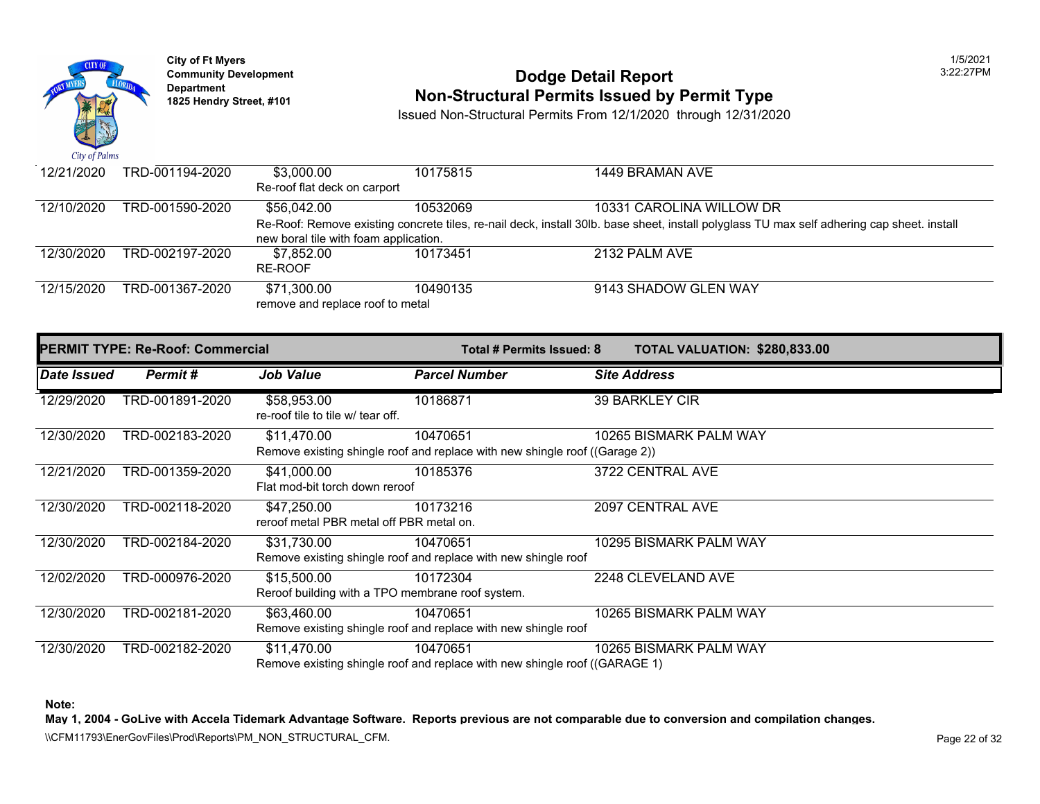

### **Community Development 2:22:27 POdge Detail Report 1825 Non-Structural Permits Issued by Permit Type**

Issued Non-Structural Permits From 12/1/2020 through 12/31/2020

| 12/21/2020 | TRD-001194-2020 | \$3,000.00<br>Re-roof flat deck on carport | 10175815 | 1449 BRAMAN AVE                                                                                             |
|------------|-----------------|--------------------------------------------|----------|-------------------------------------------------------------------------------------------------------------|
| 12/10/2020 | TRD-001590-2020 | \$56,042,00                                | 10532069 | 10331 CAROLINA WILLOW DR                                                                                    |
|            |                 |                                            |          | Re-Roof: Remove existing concrete tiles, re-nail deck, install 30lb. base sheet, install polyglass TU max s |
|            |                 | new boral tile with foam application.      |          |                                                                                                             |
| 12/30/2020 | TRD-002197-2020 | \$7.852.00                                 | 10173451 | 2132 PALM AVE                                                                                               |
|            |                 | RE-ROOF                                    |          |                                                                                                             |
| 12/15/2020 | TRD-001367-2020 | \$71.300.00                                | 10490135 | 9143 SHADOW GLEN WAY                                                                                        |
|            |                 | remove and replace roof to metal           |          |                                                                                                             |

|             | <b>PERMIT TYPE: Re-Roof: Commercial</b> |                                                                 | Total # Permits Issued: 8                                                               | <b>TOTAL VALUATION: \$280,83</b> |
|-------------|-----------------------------------------|-----------------------------------------------------------------|-----------------------------------------------------------------------------------------|----------------------------------|
| Date Issued | Permit#                                 | Job Value                                                       | <b>Parcel Number</b>                                                                    | <b>Site Address</b>              |
| 12/29/2020  | TRD-001891-2020                         | \$58,953.00<br>re-roof tile to tile w/ tear off.                | 10186871                                                                                | 39 BARKLEY CIR                   |
| 12/30/2020  | TRD-002183-2020                         | \$11,470.00                                                     | 10470651<br>Remove existing shingle roof and replace with new shingle roof ((Garage 2)) | 10265 BISMARK PALM WAY           |
| 12/21/2020  | TRD-001359-2020                         | \$41,000.00<br>Flat mod-bit torch down reroof                   | 10185376                                                                                | 3722 CENTRAL AVE                 |
| 12/30/2020  | TRD-002118-2020                         | \$47,250.00<br>reroof metal PBR metal off PBR metal on.         | 10173216                                                                                | 2097 CENTRAL AVE                 |
| 12/30/2020  | TRD-002184-2020                         | \$31,730.00                                                     | 10470651<br>Remove existing shingle roof and replace with new shingle roof              | 10295 BISMARK PALM WAY           |
| 12/02/2020  | TRD-000976-2020                         | \$15,500.00<br>Reroof building with a TPO membrane roof system. | 10172304                                                                                | 2248 CLEVELAND AVE               |
| 12/30/2020  | TRD-002181-2020                         | \$63,460.00                                                     | 10470651<br>Remove existing shingle roof and replace with new shingle roof              | 10265 BISMARK PALM WAY           |
| 12/30/2020  | TRD-002182-2020                         | \$11,470.00                                                     | 10470651<br>Remove existing shingle roof and replace with new shingle roof ((GARAGE 1)  | 10265 BISMARK PALM WAY           |

**Note:**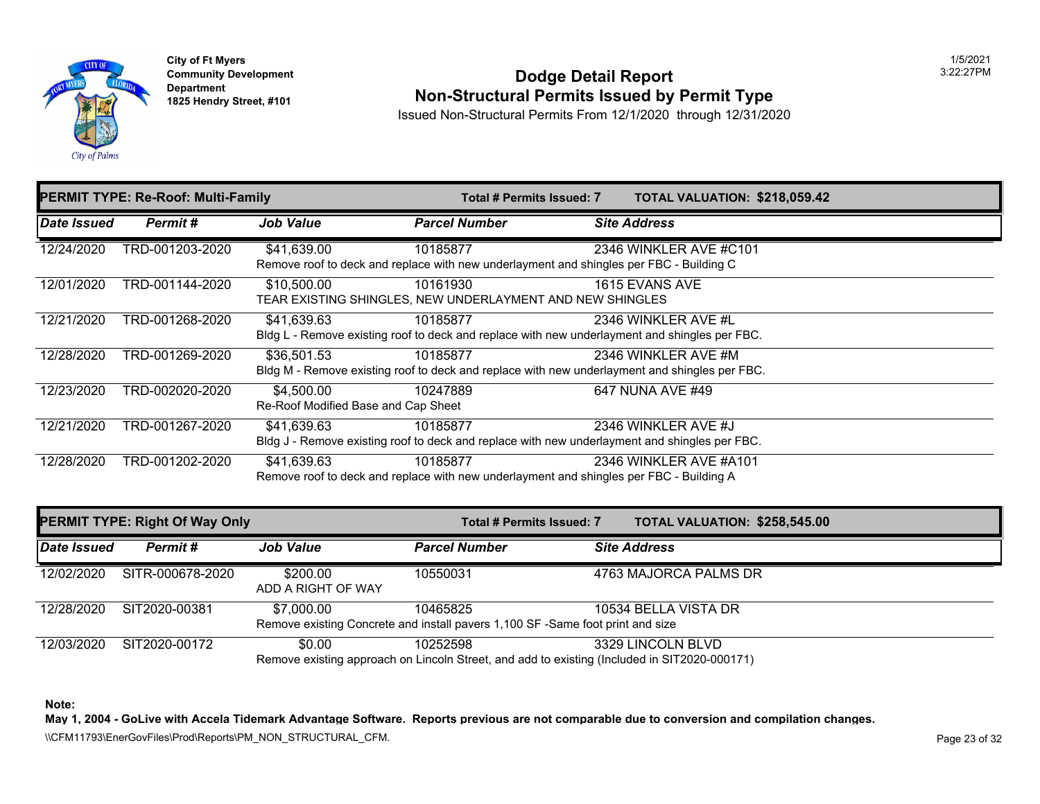

## **Community Development Community Development** Dodge Detail Report **1825 Hendry Street, #101 Non-Structural Permits Issued by Permit Type**

Issued Non-Structural Permits From 12/1/2020 through 12/31/2020

|                    | <b>PERMIT TYPE: Re-Roof: Multi-Family</b> |                                                   | Total # Permits Issued: 7                                                                                 | <b>TOTAL VALUATION: \$218,05</b>                                                                                     |
|--------------------|-------------------------------------------|---------------------------------------------------|-----------------------------------------------------------------------------------------------------------|----------------------------------------------------------------------------------------------------------------------|
| <b>Date Issued</b> | Permit#                                   | <b>Job Value</b>                                  | <b>Parcel Number</b>                                                                                      | <b>Site Address</b>                                                                                                  |
| 12/24/2020         | TRD-001203-2020                           | \$41,639.00                                       | 10185877<br>Remove roof to deck and replace with new underlayment and shingles per FBC - Building C       | 2346 WINKLER AVE #C101                                                                                               |
| 12/01/2020         | TRD-001144-2020                           | \$10,500.00                                       | 10161930<br>TEAR EXISTING SHINGLES, NEW UNDERLAYMENT AND NEW SHINGLES                                     | 1615 EVANS AVE                                                                                                       |
| 12/21/2020         | TRD-001268-2020                           | \$41,639.63                                       | 10185877<br>Bldg L - Remove existing roof to deck and replace with new underlayment and shingles per FBC. | 2346 WINKLER AVE #L                                                                                                  |
| 12/28/2020         | TRD-001269-2020                           | \$36,501.53                                       | 10185877                                                                                                  | 2346 WINKLER AVE #M<br>Bldg M - Remove existing roof to deck and replace with new underlayment and shingles per FBC. |
| 12/23/2020         | TRD-002020-2020                           | \$4,500.00<br>Re-Roof Modified Base and Cap Sheet | 10247889                                                                                                  | 647 NUNA AVE #49                                                                                                     |
| 12/21/2020         | TRD-001267-2020                           | \$41.639.63                                       | 10185877<br>Bldg J - Remove existing roof to deck and replace with new underlayment and shingles per FBC. | 2346 WINKLER AVE #J                                                                                                  |
| 12/28/2020         | TRD-001202-2020                           | \$41,639.63                                       | 10185877<br>Remove roof to deck and replace with new underlayment and shingles per FBC - Building A       | 2346 WINKLER AVE #A101                                                                                               |

|             | <b>PERMIT TYPE: Right Of Way Only</b> |                                | Total # Permits Issued: 7                                                                  | <b>TOTAL VALUATION: \$258,54</b>                                                                                  |
|-------------|---------------------------------------|--------------------------------|--------------------------------------------------------------------------------------------|-------------------------------------------------------------------------------------------------------------------|
| Date Issued | Permit #                              | <b>Job Value</b>               | <b>Parcel Number</b>                                                                       | <b>Site Address</b>                                                                                               |
| 12/02/2020  | SITR-000678-2020                      | \$200.00<br>ADD A RIGHT OF WAY | 10550031                                                                                   | 4763 MAJORCA PALMS DR                                                                                             |
| 12/28/2020  | SIT2020-00381                         | \$7,000.00                     | 10465825<br>Remove existing Concrete and install pavers 1,100 SF -Same foot print and size | 10534 BELLA VISTA DR                                                                                              |
| 12/03/2020  | SIT2020-00172                         | \$0.00                         | 10252598                                                                                   | 3329 LINCOLN BLVD<br>Remove existing approach on Lincoln Street, and add to existing (Included in SIT2020-000171) |

**Note:**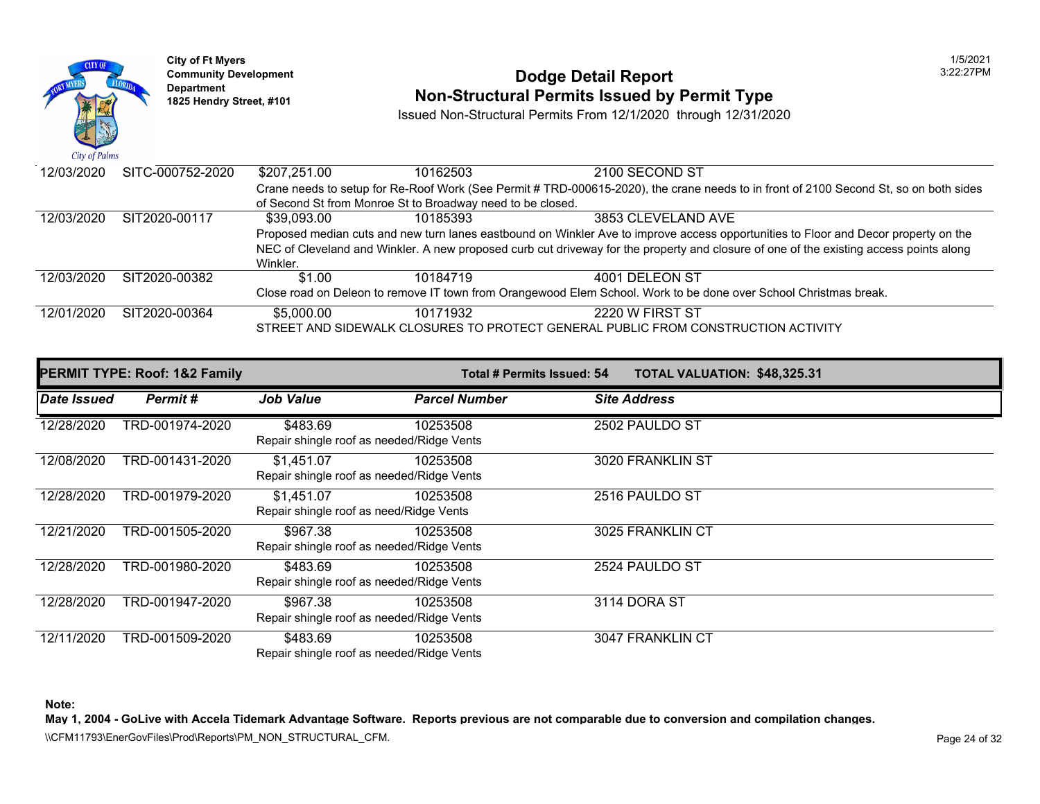

### **Community Developm[ent](https://5,000.00) 12:22:27 PODDE DETAIL Report Non-Structural Permits Issued by Permit Type**

Issued Non-Structural Permits From 12/1/2020 through 12/31/2020

| 12/03/2020 | SITC-000752-2020 | \$207,251.00 | 10162503                                                   | 2100 SECOND ST                                                                                        |
|------------|------------------|--------------|------------------------------------------------------------|-------------------------------------------------------------------------------------------------------|
|            |                  |              |                                                            | Crane needs to setup for Re-Roof Work (See Permit # TRD-000615-2020), the crane needs to in front of  |
|            |                  |              | of Second St from Monroe St to Broadway need to be closed. |                                                                                                       |
| 12/03/2020 | SIT2020-00117    | \$39.093.00  | 10185393                                                   | 3853 CLEVELAND AVE                                                                                    |
|            |                  |              |                                                            | Proposed median cuts and new turn lanes eastbound on Winkler Ave to improve access opportunities to   |
|            |                  |              |                                                            | NEC of Cleveland and Winkler. A new proposed curb cut driveway for the property and closure of one of |
|            |                  | Winkler.     |                                                            |                                                                                                       |
| 12/03/2020 | SIT2020-00382    | \$1.00       | 10184719                                                   | 4001 DELEON ST                                                                                        |
|            |                  |              |                                                            | Close road on Deleon to remove IT town from Orangewood Elem School. Work to be done over School C     |
| 12/01/2020 | SIT2020-00364    | \$5,000.00   | 10171932                                                   | 2220 W FIRST ST                                                                                       |
|            |                  |              |                                                            | STREET AND SIDEWALK CLOSURES TO PROTECT GENERAL PUBLIC FROM CONSTRUCTION AC                           |
|            |                  |              |                                                            |                                                                                                       |

|             | <b>PERMIT TYPE: Roof: 1&amp;2 Family</b> |                                                         | Total # Permits Issued: 54 | <b>TOTAL VALUATION: \$48,325</b> |  |
|-------------|------------------------------------------|---------------------------------------------------------|----------------------------|----------------------------------|--|
| Date Issued | Permit#                                  | <b>Job Value</b>                                        | <b>Parcel Number</b>       | <b>Site Address</b>              |  |
| 12/28/2020  | TRD-001974-2020                          | \$483.69<br>Repair shingle roof as needed/Ridge Vents   | 10253508                   | 2502 PAULDO ST                   |  |
| 12/08/2020  | TRD-001431-2020                          | \$1,451.07<br>Repair shingle roof as needed/Ridge Vents | 10253508                   | 3020 FRANKLIN ST                 |  |
| 12/28/2020  | TRD-001979-2020                          | \$1,451.07<br>Repair shingle roof as need/Ridge Vents   | 10253508                   | 2516 PAULDO ST                   |  |
| 12/21/2020  | TRD-001505-2020                          | \$967.38<br>Repair shingle roof as needed/Ridge Vents   | 10253508                   | 3025 FRANKLIN CT                 |  |
| 12/28/2020  | TRD-001980-2020                          | \$483.69<br>Repair shingle roof as needed/Ridge Vents   | 10253508                   | 2524 PAULDO ST                   |  |
| 12/28/2020  | TRD-001947-2020                          | \$967.38<br>Repair shingle roof as needed/Ridge Vents   | 10253508                   | 3114 DORA ST                     |  |
| 12/11/2020  | TRD-001509-2020                          | \$483.69<br>Repair shingle roof as needed/Ridge Vents   | 10253508                   | 3047 FRANKLIN CT                 |  |

**Note:**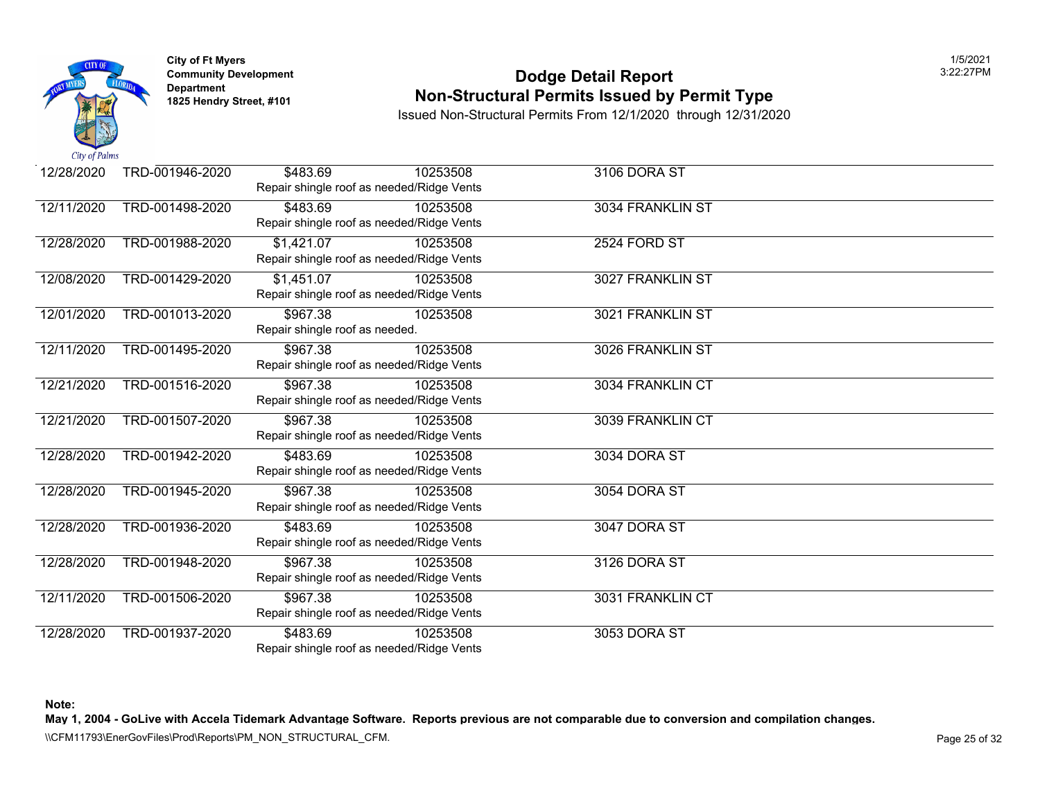

### **Community Development 2:22:27 POdge Detail Report Non-Structural Permits Issued by Permit Type**

Issued Non-Structural Permits From 12/1/2020 through 12/31/2020

| 12/28/2020 | TRD-001946-2020 | \$483.69                       | 10253508                                  | 3106 DORA ST        |  |
|------------|-----------------|--------------------------------|-------------------------------------------|---------------------|--|
|            |                 |                                | Repair shingle roof as needed/Ridge Vents |                     |  |
| 12/11/2020 | TRD-001498-2020 | \$483.69                       | 10253508                                  | 3034 FRANKLIN ST    |  |
|            |                 |                                | Repair shingle roof as needed/Ridge Vents |                     |  |
| 12/28/2020 | TRD-001988-2020 | \$1,421.07                     | 10253508                                  | <b>2524 FORD ST</b> |  |
|            |                 |                                | Repair shingle roof as needed/Ridge Vents |                     |  |
| 12/08/2020 | TRD-001429-2020 | \$1,451.07                     | 10253508                                  | 3027 FRANKLIN ST    |  |
|            |                 |                                | Repair shingle roof as needed/Ridge Vents |                     |  |
| 12/01/2020 | TRD-001013-2020 | \$967.38                       | 10253508                                  | 3021 FRANKLIN ST    |  |
|            |                 | Repair shingle roof as needed. |                                           |                     |  |
| 12/11/2020 | TRD-001495-2020 | \$967.38                       | 10253508                                  | 3026 FRANKLIN ST    |  |
|            |                 |                                | Repair shingle roof as needed/Ridge Vents |                     |  |
| 12/21/2020 | TRD-001516-2020 | \$967.38                       | 10253508                                  | 3034 FRANKLIN CT    |  |
|            |                 |                                | Repair shingle roof as needed/Ridge Vents |                     |  |
| 12/21/2020 | TRD-001507-2020 | \$967.38                       | 10253508                                  | 3039 FRANKLIN CT    |  |
|            |                 |                                | Repair shingle roof as needed/Ridge Vents |                     |  |
| 12/28/2020 | TRD-001942-2020 | \$483.69                       | 10253508                                  | 3034 DORA ST        |  |
|            |                 |                                | Repair shingle roof as needed/Ridge Vents |                     |  |
| 12/28/2020 | TRD-001945-2020 | \$967.38                       | 10253508                                  | 3054 DORA ST        |  |
|            |                 |                                | Repair shingle roof as needed/Ridge Vents |                     |  |
| 12/28/2020 | TRD-001936-2020 | \$483.69                       | 10253508                                  | 3047 DORA ST        |  |
|            |                 |                                | Repair shingle roof as needed/Ridge Vents |                     |  |
| 12/28/2020 | TRD-001948-2020 | \$967.38                       | 10253508                                  | 3126 DORA ST        |  |
|            |                 |                                | Repair shingle roof as needed/Ridge Vents |                     |  |
| 12/11/2020 | TRD-001506-2020 | \$967.38                       | 10253508                                  | 3031 FRANKLIN CT    |  |
|            |                 |                                | Repair shingle roof as needed/Ridge Vents |                     |  |
| 12/28/2020 | TRD-001937-2020 | \$483.69                       | 10253508                                  | 3053 DORA ST        |  |
|            |                 |                                | Repair shingle roof as needed/Ridge Vents |                     |  |

**Note:**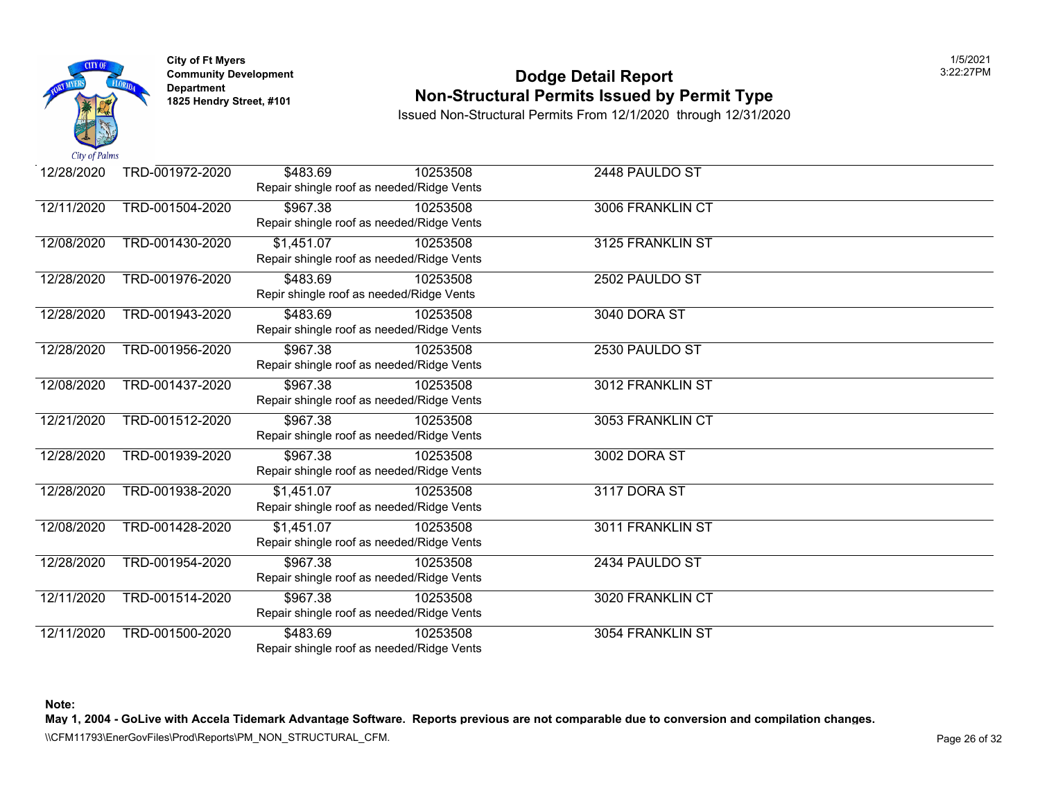

### **Community Development 2:22:27 POdge Detail Report Non-Structural Permits Issued by Permit Type**

Issued Non-Structural Permits From 12/1/2020 through 12/31/2020

| 12/28/2020 | TRD-001972-2020 | \$483.69   | 10253508                                  | 2448 PAULDO ST   |  |
|------------|-----------------|------------|-------------------------------------------|------------------|--|
|            |                 |            | Repair shingle roof as needed/Ridge Vents |                  |  |
| 12/11/2020 | TRD-001504-2020 | \$967.38   | 10253508                                  | 3006 FRANKLIN CT |  |
|            |                 |            | Repair shingle roof as needed/Ridge Vents |                  |  |
| 12/08/2020 | TRD-001430-2020 | \$1,451.07 | 10253508                                  | 3125 FRANKLIN ST |  |
|            |                 |            | Repair shingle roof as needed/Ridge Vents |                  |  |
| 12/28/2020 | TRD-001976-2020 | \$483.69   | 10253508                                  | 2502 PAULDO ST   |  |
|            |                 |            | Repir shingle roof as needed/Ridge Vents  |                  |  |
| 12/28/2020 | TRD-001943-2020 | \$483.69   | 10253508                                  | 3040 DORA ST     |  |
|            |                 |            | Repair shingle roof as needed/Ridge Vents |                  |  |
| 12/28/2020 | TRD-001956-2020 | \$967.38   | 10253508                                  | 2530 PAULDO ST   |  |
|            |                 |            | Repair shingle roof as needed/Ridge Vents |                  |  |
| 12/08/2020 | TRD-001437-2020 | \$967.38   | 10253508                                  | 3012 FRANKLIN ST |  |
|            |                 |            | Repair shingle roof as needed/Ridge Vents |                  |  |
| 12/21/2020 | TRD-001512-2020 | \$967.38   | 10253508                                  | 3053 FRANKLIN CT |  |
|            |                 |            | Repair shingle roof as needed/Ridge Vents |                  |  |
| 12/28/2020 | TRD-001939-2020 | \$967.38   | 10253508                                  | 3002 DORA ST     |  |
|            |                 |            | Repair shingle roof as needed/Ridge Vents |                  |  |
| 12/28/2020 | TRD-001938-2020 | \$1,451.07 | 10253508                                  | 3117 DORA ST     |  |
|            |                 |            | Repair shingle roof as needed/Ridge Vents |                  |  |
| 12/08/2020 | TRD-001428-2020 | \$1,451.07 | 10253508                                  | 3011 FRANKLIN ST |  |
|            |                 |            | Repair shingle roof as needed/Ridge Vents |                  |  |
| 12/28/2020 | TRD-001954-2020 | \$967.38   | 10253508                                  | 2434 PAULDO ST   |  |
|            |                 |            | Repair shingle roof as needed/Ridge Vents |                  |  |
| 12/11/2020 | TRD-001514-2020 | \$967.38   | 10253508                                  | 3020 FRANKLIN CT |  |
|            |                 |            | Repair shingle roof as needed/Ridge Vents |                  |  |
| 12/11/2020 | TRD-001500-2020 | \$483.69   | 10253508                                  | 3054 FRANKLIN ST |  |
|            |                 |            | Repair shingle roof as needed/Ridge Vents |                  |  |

**Note:**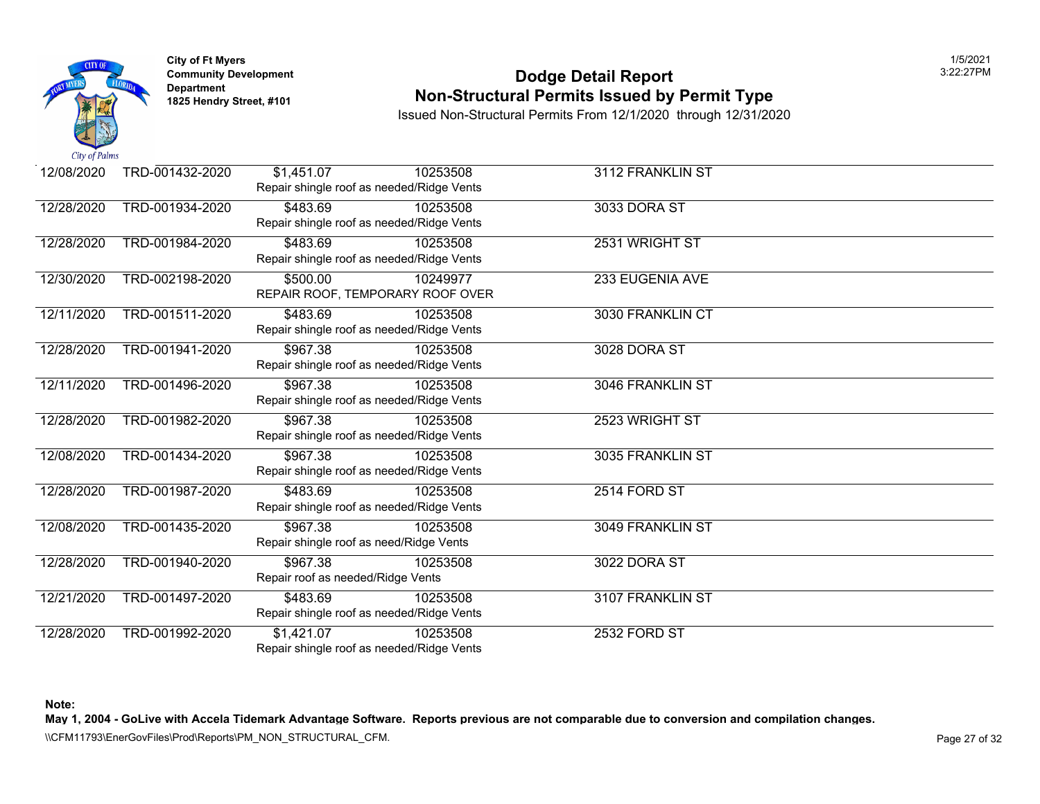

### **Community Development 2:22:27 POdge Detail Report Non-Structural Permits Issued by Permit Type**

Issued Non-Structural Permits From 12/1/2020 through 12/31/2020

| 12/08/2020 | TRD-001432-2020 | \$1,451.07                              | 10253508                                  | 3112 FRANKLIN ST |  |
|------------|-----------------|-----------------------------------------|-------------------------------------------|------------------|--|
|            |                 |                                         | Repair shingle roof as needed/Ridge Vents |                  |  |
| 12/28/2020 | TRD-001934-2020 | \$483.69                                | 10253508                                  | 3033 DORA ST     |  |
|            |                 |                                         | Repair shingle roof as needed/Ridge Vents |                  |  |
| 12/28/2020 | TRD-001984-2020 | \$483.69                                | 10253508                                  | 2531 WRIGHT ST   |  |
|            |                 |                                         | Repair shingle roof as needed/Ridge Vents |                  |  |
| 12/30/2020 | TRD-002198-2020 | \$500.00                                | 10249977                                  | 233 EUGENIA AVE  |  |
|            |                 |                                         | REPAIR ROOF, TEMPORARY ROOF OVER          |                  |  |
| 12/11/2020 | TRD-001511-2020 | \$483.69                                | 10253508                                  | 3030 FRANKLIN CT |  |
|            |                 |                                         | Repair shingle roof as needed/Ridge Vents |                  |  |
| 12/28/2020 | TRD-001941-2020 | \$967.38                                | 10253508                                  | 3028 DORA ST     |  |
|            |                 |                                         | Repair shingle roof as needed/Ridge Vents |                  |  |
| 12/11/2020 | TRD-001496-2020 | \$967.38                                | 10253508                                  | 3046 FRANKLIN ST |  |
|            |                 |                                         | Repair shingle roof as needed/Ridge Vents |                  |  |
| 12/28/2020 | TRD-001982-2020 | \$967.38                                | 10253508                                  | 2523 WRIGHT ST   |  |
|            |                 |                                         | Repair shingle roof as needed/Ridge Vents |                  |  |
| 12/08/2020 | TRD-001434-2020 | \$967.38                                | 10253508                                  | 3035 FRANKLIN ST |  |
|            |                 |                                         | Repair shingle roof as needed/Ridge Vents |                  |  |
| 12/28/2020 | TRD-001987-2020 | \$483.69                                | 10253508                                  | 2514 FORD ST     |  |
|            |                 |                                         | Repair shingle roof as needed/Ridge Vents |                  |  |
| 12/08/2020 | TRD-001435-2020 | \$967.38                                | 10253508                                  | 3049 FRANKLIN ST |  |
|            |                 | Repair shingle roof as need/Ridge Vents |                                           |                  |  |
| 12/28/2020 | TRD-001940-2020 | \$967.38                                | 10253508                                  | 3022 DORA ST     |  |
|            |                 | Repair roof as needed/Ridge Vents       |                                           |                  |  |
| 12/21/2020 | TRD-001497-2020 | \$483.69                                | 10253508                                  | 3107 FRANKLIN ST |  |
|            |                 |                                         | Repair shingle roof as needed/Ridge Vents |                  |  |
| 12/28/2020 | TRD-001992-2020 | \$1,421.07                              | 10253508                                  | 2532 FORD ST     |  |
|            |                 |                                         | Repair shingle roof as needed/Ridge Vents |                  |  |

**Note:**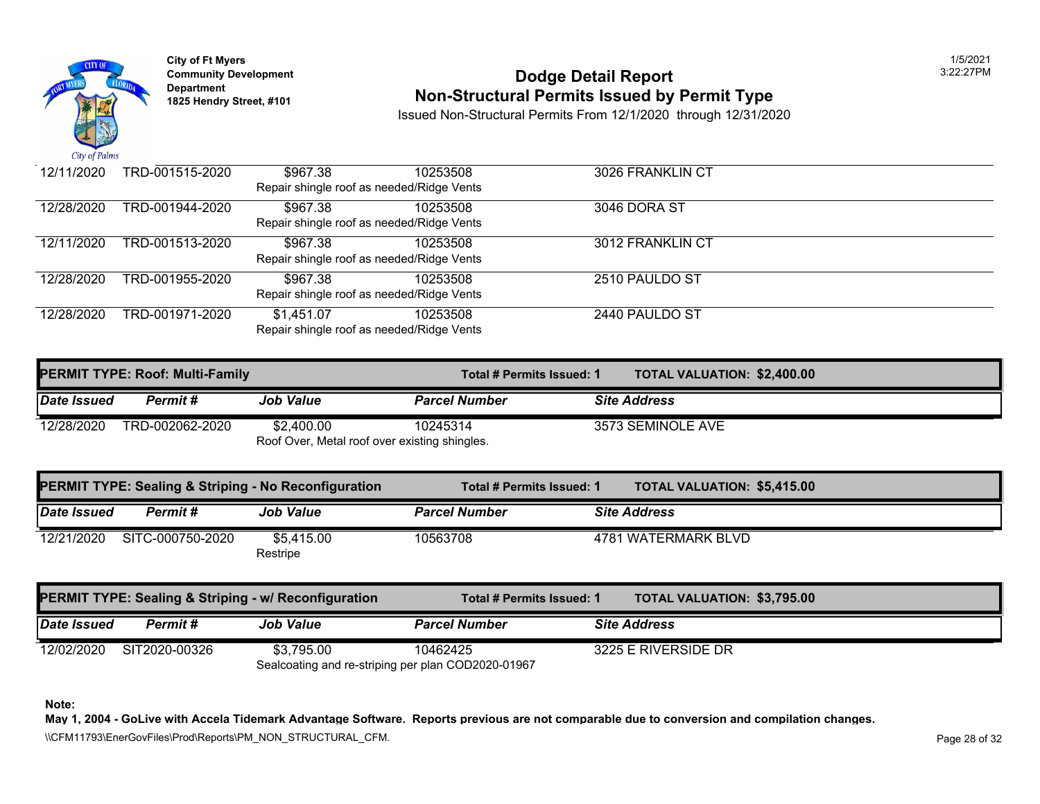

# **Community Developm[ent](https://1,451.07) 12:23:27 Proportional Server Apple 2:27 Proportional Dodge Detail Report 1825 Non-Structural Permits Issued by Permit Type**

Issued Non-Structural Permits From 12/1/2020 through 12/31/2020

| 12/11/2020 | TRD-001515-2020 | \$967.38   | 10253508                                  | 3026 FRANKLIN CT |
|------------|-----------------|------------|-------------------------------------------|------------------|
|            |                 |            | Repair shingle roof as needed/Ridge Vents |                  |
| 12/28/2020 | TRD-001944-2020 | \$967.38   | 10253508                                  | 3046 DORA ST     |
|            |                 |            | Repair shingle roof as needed/Ridge Vents |                  |
| 12/11/2020 | TRD-001513-2020 | \$967.38   | 10253508                                  | 3012 FRANKLIN CT |
|            |                 |            | Repair shingle roof as needed/Ridge Vents |                  |
| 12/28/2020 | TRD-001955-2020 | \$967.38   | 10253508                                  | 2510 PAULDO ST   |
|            |                 |            | Repair shingle roof as needed/Ridge Vents |                  |
| 12/28/2020 | TRD-001971-2020 | \$1,451.07 | 10253508                                  | 2440 PAULDO ST   |
|            |                 |            | Repair shingle roof as needed/Ridge Vents |                  |

|             | <b>PERMIT TYPE: Roof: Multi-Family</b> |                                               | Total # Permits Issued: 1 | <b>TOTAL VALUATION: \$2,400.0</b> |
|-------------|----------------------------------------|-----------------------------------------------|---------------------------|-----------------------------------|
| Date Issued | Permit #                               | <b>Job Value</b>                              | <b>Parcel Number</b>      | <b>Site Address</b>               |
| 12/28/2020  | TRD-002062-2020                        | \$2.400.00                                    | 10245314                  | 3573 SEMINOLE AVE                 |
|             |                                        | Roof Over, Metal roof over existing shingles. |                           |                                   |

|             |                  | <b>PERMIT TYPE: Sealing &amp; Striping - No Reconfiguration</b>  | Total # Permits Issued: 1 | <b>TOTAL VALUATION: \$5,415.0</b> |  |
|-------------|------------------|------------------------------------------------------------------|---------------------------|-----------------------------------|--|
| Date Issued | Permit#          | <b>Job Value</b>                                                 | <b>Parcel Number</b>      | <b>Site Address</b>               |  |
| 12/21/2020  | SITC-000750-2020 | \$5,415.00<br>Restripe                                           | 10563708                  | 4781 WATERMARK BLVD               |  |
|             |                  | <b>PERMIT TYPE: Sealing &amp; Striping - w/ Reconfiguration</b>  | Total # Permits Issued: 1 | <b>TOTAL VALUATION: \$3,795.0</b> |  |
| Date Issued | Permit#          | <b>Job Value</b>                                                 | <b>Parcel Number</b>      | <b>Site Address</b>               |  |
| 12/02/2020  | SIT2020-00326    | \$3,795.00<br>Sealcoating and re-striping per plan COD2020-01967 | 10462425                  | 3225 E RIVERSIDE DR               |  |

**Note:**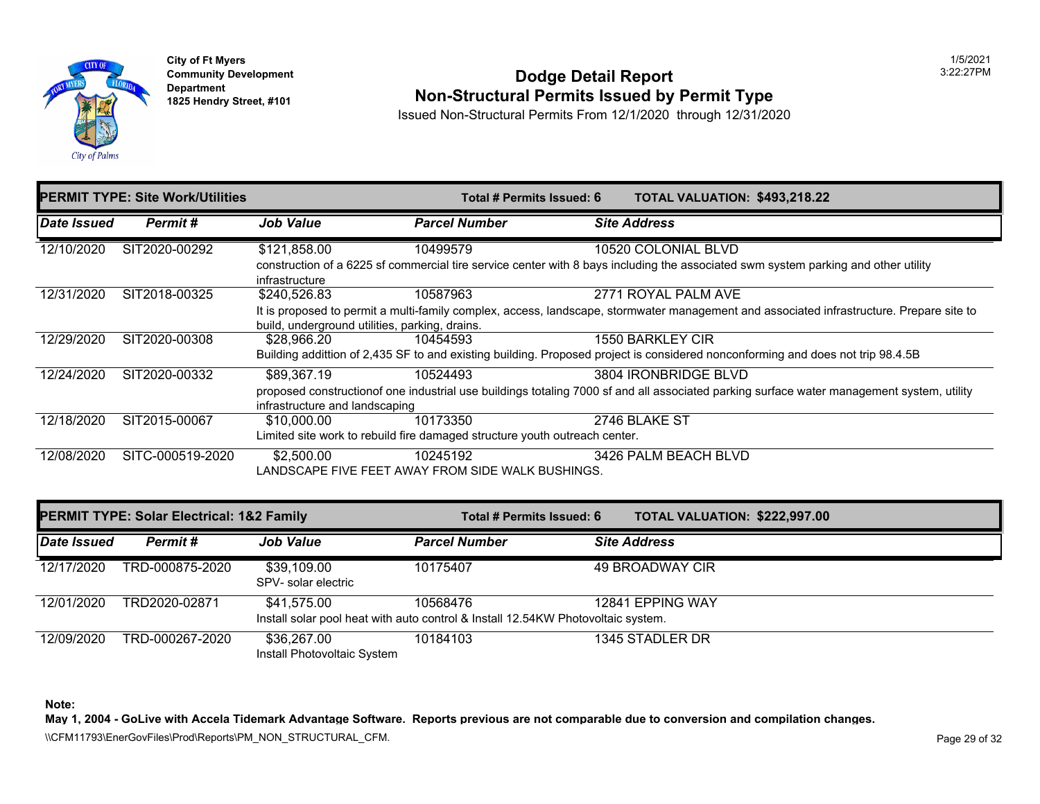

## **Community Development 2:22:27 POdge Detail Report 1825 Non-Structural Permits Issued by Permit Type**

Issued Non-Structural Permits From 12/1/2020 through 12/31/2020

|                    | <b>PERMIT TYPE: Site Work/Utilities</b> | Total # Permits Issued: 6                      |                                                                                                             | <b>TOTAL VALUATION: \$493,21</b> |                      |  |
|--------------------|-----------------------------------------|------------------------------------------------|-------------------------------------------------------------------------------------------------------------|----------------------------------|----------------------|--|
| <b>Date Issued</b> | Permit#                                 | <b>Job Value</b>                               | <b>Parcel Number</b>                                                                                        |                                  | <b>Site Address</b>  |  |
| 12/10/2020         | SIT2020-00292                           | \$121,858.00                                   | 10499579                                                                                                    |                                  | 10520 COLONIAL BLVD  |  |
|                    |                                         | infrastructure                                 | construction of a 6225 sf commercial tire service center with 8 bays including the associated swm system    |                                  |                      |  |
| 12/31/2020         | SIT2018-00325                           | \$240,526.83                                   | 10587963                                                                                                    |                                  | 2771 ROYAL PALM AVE  |  |
|                    |                                         | build, underground utilities, parking, drains. | It is proposed to permit a multi-family complex, access, landscape, stormwater management and associa       |                                  |                      |  |
| 12/29/2020         | SIT2020-00308                           | \$28.966.20                                    | 10454593                                                                                                    |                                  | 1550 BARKLEY CIR     |  |
|                    |                                         |                                                | Building addittion of 2,435 SF to and existing building. Proposed project is considered nonconforming and   |                                  |                      |  |
| 12/24/2020         | SIT2020-00332                           | \$89,367.19                                    | 10524493                                                                                                    |                                  | 3804 IRONBRIDGE BLVD |  |
|                    |                                         |                                                | proposed construction of one industrial use buildings totaling 7000 sf and all associated parking surface w |                                  |                      |  |
|                    |                                         | infrastructure and landscaping                 |                                                                                                             |                                  |                      |  |
| 12/18/2020         | SIT2015-00067                           | \$10,000.00                                    | 10173350                                                                                                    |                                  | 2746 BLAKE ST        |  |
|                    |                                         |                                                | Limited site work to rebuild fire damaged structure youth outreach center.                                  |                                  |                      |  |
| 12/08/2020         | SITC-000519-2020                        | \$2,500.00                                     | 10245192                                                                                                    |                                  | 3426 PALM BEACH BLVD |  |
|                    |                                         |                                                | LANDSCAPE FIVE FEET AWAY FROM SIDE WALK BUSHINGS.                                                           |                                  |                      |  |
|                    |                                         |                                                |                                                                                                             |                                  |                      |  |

| <b>PERMIT TYPE: Solar Electrical: 1&amp;2 Family</b> |                 |                                            | Total # Permits Issued: 6                                                                    | <b>TOTAL VALUATION: \$222,99</b> |
|------------------------------------------------------|-----------------|--------------------------------------------|----------------------------------------------------------------------------------------------|----------------------------------|
| Date Issued                                          | Permit #        | <b>Job Value</b>                           | <b>Parcel Number</b>                                                                         | <b>Site Address</b>              |
| 12/17/2020                                           | TRD-000875-2020 | \$39,109.00<br>SPV- solar electric         | 10175407                                                                                     | 49 BROADWAY CIR                  |
| 12/01/2020                                           | TRD2020-02871   | \$41,575.00                                | 10568476<br>Install solar pool heat with auto control & Install 12.54KW Photovoltaic system. | 12841 EPPING WAY                 |
| 12/09/2020                                           | TRD-000267-2020 | \$36,267.00<br>Install Photovoltaic System | 10184103                                                                                     | 1345 STADLER DR                  |

**Note:**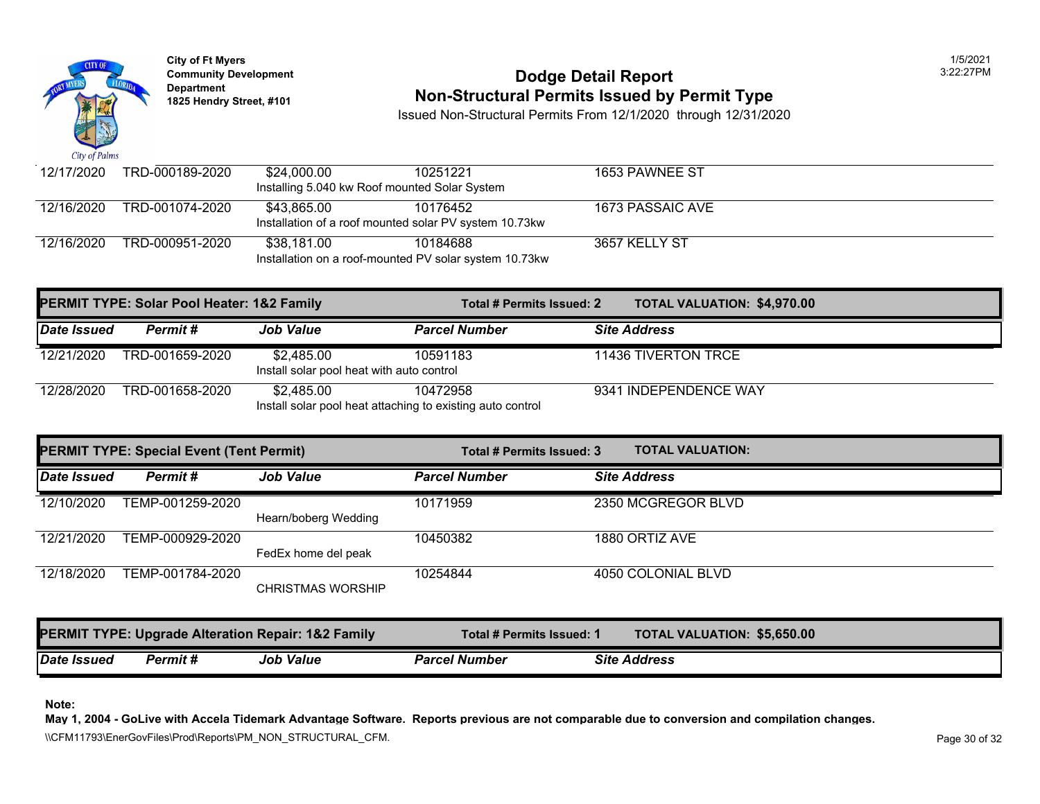

# **Community Development 2:22:27 POdge Detail Report 1825 Non-Structural Permits Issued by Permit Type**

Issued Non-Structural Permits From 12/1/2020 through 12/31/2020

| 12/17/2020                                             | TRD-000189-2020 | \$24.000.00                                   | 10251221 | 1653 PAWNEE ST   |  |  |
|--------------------------------------------------------|-----------------|-----------------------------------------------|----------|------------------|--|--|
|                                                        |                 |                                               |          |                  |  |  |
|                                                        |                 | Installing 5.040 kw Roof mounted Solar System |          |                  |  |  |
| 12/16/2020                                             | TRD-001074-2020 | \$43.865.00                                   | 10176452 | 1673 PASSAIC AVE |  |  |
| Installation of a roof mounted solar PV system 10.73kw |                 |                                               |          |                  |  |  |
| 12/16/2020                                             | TRD-000951-2020 | \$38.181.00                                   | 10184688 | 3657 KELLY ST    |  |  |
| Installation on a roof-mounted PV solar system 10.73kw |                 |                                               |          |                  |  |  |

|             | <b>PERMIT TYPE: Solar Pool Heater: 1&amp;2 Family</b> |                                                                          | Total # Permits Issued: 2 | <b>TOTAL VALUATION: \$4,970.0</b> |
|-------------|-------------------------------------------------------|--------------------------------------------------------------------------|---------------------------|-----------------------------------|
| Date Issued | Permit #                                              | <b>Job Value</b>                                                         | <b>Parcel Number</b>      | <b>Site Address</b>               |
| 12/21/2020  | TRD-001659-2020                                       | \$2,485.00<br>Install solar pool heat with auto control                  | 10591183                  | 11436 TIVERTON TRCE               |
| 12/28/2020  | TRD-001658-2020                                       | \$2.485.00<br>Install solar pool heat attaching to existing auto control | 10472958                  | 9341 INDEPENDENCE WAY             |

| <b>PERMIT TYPE: Special Event (Tent Permit)</b> |                  |                          | Total # Permits Issued: 3 | <b>TOTAL VALUATION:</b> |
|-------------------------------------------------|------------------|--------------------------|---------------------------|-------------------------|
| Date Issued                                     | Permit#          | <b>Job Value</b>         | <b>Parcel Number</b>      | <b>Site Address</b>     |
| 12/10/2020                                      | TEMP-001259-2020 | Hearn/boberg Wedding     | 10171959                  | 2350 MCGREGOR BLVD      |
| 12/21/2020                                      | TEMP-000929-2020 | FedEx home del peak      | 10450382                  | 1880 ORTIZ AVE          |
| 12/18/2020                                      | TEMP-001784-2020 | <b>CHRISTMAS WORSHIP</b> | 10254844                  | 4050 COLONIAL BLVD      |

|             |          | <b>PERMIT TYPE: Upgrade Alteration Repair: 1&amp;2 Family</b> | Total # Permits Issued: 1 | TOTAL VALUATION: \$5,650.0 |  |
|-------------|----------|---------------------------------------------------------------|---------------------------|----------------------------|--|
| Date Issued | Permit # | <b>Job Value</b>                                              | <b>Parcel Number</b>      | <b>Site Address</b>        |  |

**Note:**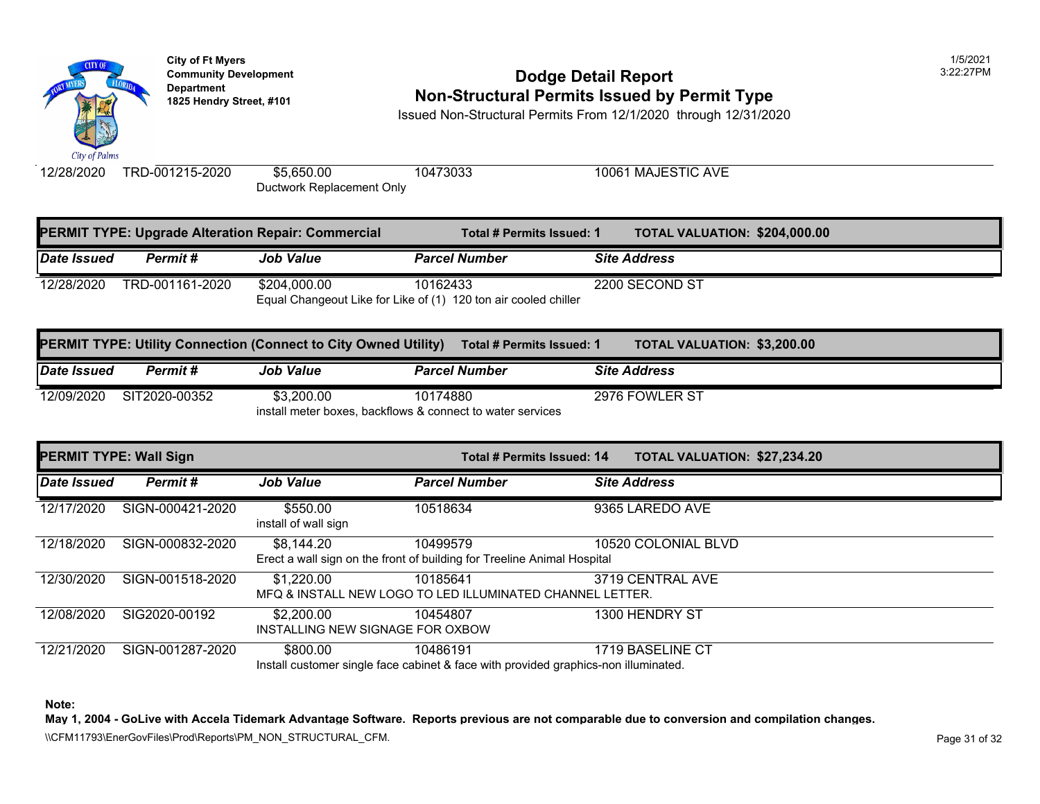

## **Community Development 2:22:27 PODDE DODGE DETAIL Report Non-Structural Permits Issued by Permit Type**

Issued Non-Structural Permits From 12/1/2020 through 12/31/2020

12/28/2020 TRD-001215-2020 \$[5,650.00](https://3,200.00) 10473033 10061 MAJESTIC AVE Ductwork Replacement Only

|             |                 | <b>PERMIT TYPE: Upgrade Alteration Repair: Commercial</b> | Total # Permits Issued: 1                                                   | <b>TOTAL VALUATION: \$204,00</b> |
|-------------|-----------------|-----------------------------------------------------------|-----------------------------------------------------------------------------|----------------------------------|
| Date Issued | Permit #        | <b>Job Value</b>                                          | <b>Parcel Number</b>                                                        | <b>Site Address</b>              |
| 12/28/2020  | TRD-001161-2020 | \$204,000.00                                              | 10162433<br>Equal Changeout Like for Like of (1) 120 ton air cooled chiller | 2200 SECOND ST                   |

|             |               | <b>PERMIT TYPE: Utility Connection (Connect to City Owned Utility)</b> |                                                            | <b>TOTAL VALUATION: \$3,200.0</b><br>Total # Permits Issued: 1 |
|-------------|---------------|------------------------------------------------------------------------|------------------------------------------------------------|----------------------------------------------------------------|
| Date Issued | Permit #      | <b>Job Value</b>                                                       | <b>Parcel Number</b>                                       | <b>Site Address</b>                                            |
| 12/09/2020  | SIT2020-00352 | \$3.200.00                                                             | 10174880                                                   | 2976 FOWLER ST                                                 |
|             |               |                                                                        | install meter boxes, backflows & connect to water services |                                                                |

| <b>PERMIT TYPE: Wall Sign</b> |                  |                                                | Total # Permits Issued: 14                                                                      | <b>TOTAL VALUATION: \$27,234</b> |
|-------------------------------|------------------|------------------------------------------------|-------------------------------------------------------------------------------------------------|----------------------------------|
| Date Issued                   | Permit#          | <b>Job Value</b>                               | <b>Parcel Number</b>                                                                            | <b>Site Address</b>              |
| 12/17/2020                    | SIGN-000421-2020 | \$550.00<br>install of wall sign               | 10518634                                                                                        | 9365 LAREDO AVE                  |
| 12/18/2020                    | SIGN-000832-2020 | \$8,144.20                                     | 10499579<br>Erect a wall sign on the front of building for Treeline Animal Hospital             | 10520 COLONIAL BLVD              |
| 12/30/2020                    | SIGN-001518-2020 | \$1,220.00                                     | 10185641<br>MFQ & INSTALL NEW LOGO TO LED ILLUMINATED CHANNEL LETTER.                           | 3719 CENTRAL AVE                 |
| 12/08/2020                    | SIG2020-00192    | \$2,200.00<br>INSTALLING NEW SIGNAGE FOR OXBOW | 10454807                                                                                        | 1300 HENDRY ST                   |
| 12/21/2020                    | SIGN-001287-2020 | \$800.00                                       | 10486191<br>Install customer single face cabinet & face with provided graphics-non illuminated. | 1719 BASELINE CT                 |

**Note:**